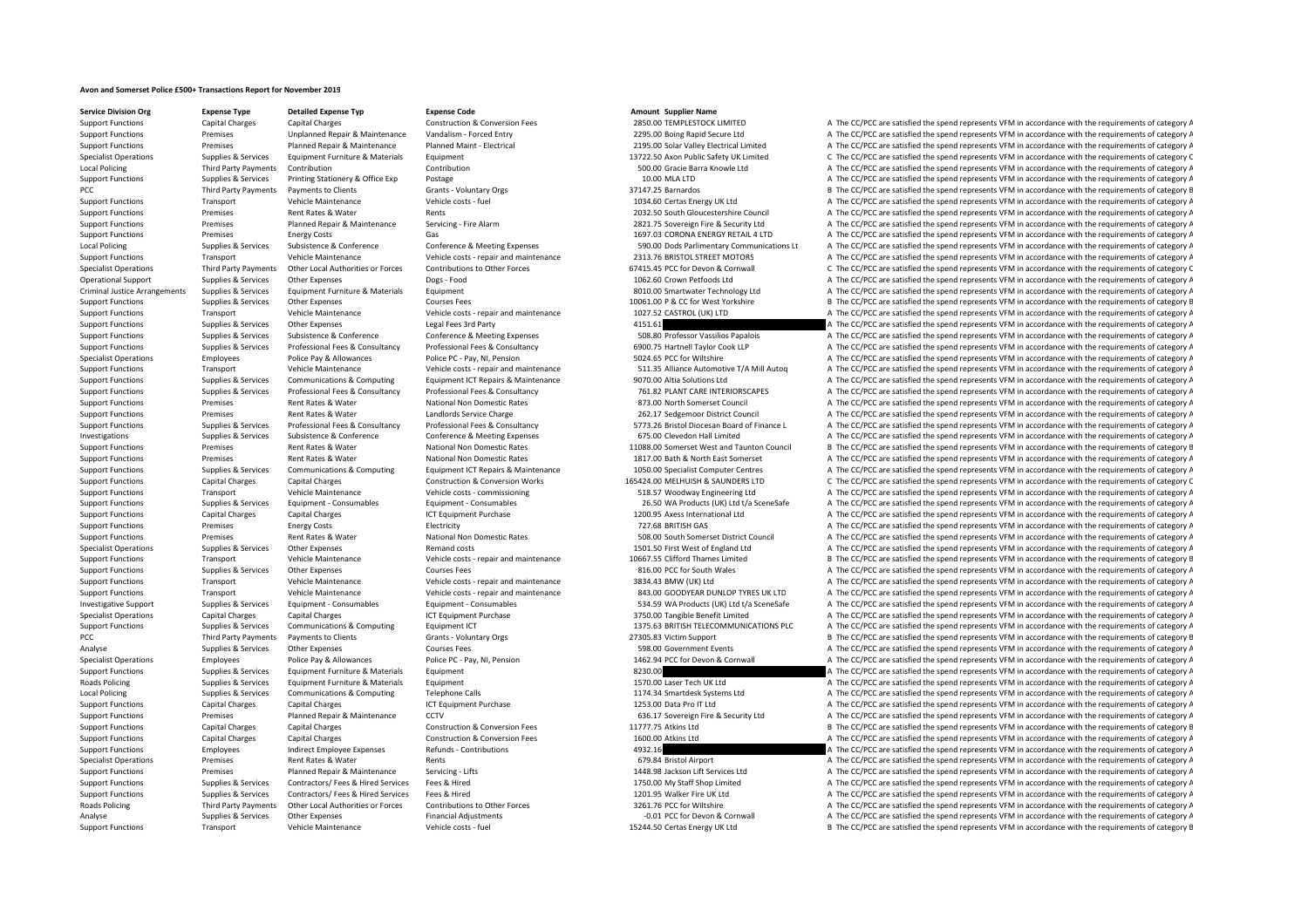## **Avon and Somerset Police £500+ Transactions Report for November 2019**

**Service Division Org Expense Type Detailed Expense Typ Expense Code Amount Supplier Name**

Support Functions Capital Charges Capital Charges Capital Charges Construction & Conversion Fees 2850.00 TEMPLESTOCK LIMITED A The CC/PCC are satisfied the spend represents VFM in accordance with the requirements of catego Support Functions Premises Unplanned Repair & Maintenance Vandalism - Forced Entry 2295.00 Boing Rapid Secure Ltd A The CC/PCC are satisfied the spend represents VFM in accordance with the requirements of category A Support Functions Premises Planned Repair & Maintenance Planned Maint - Electrical 2195.00 Solar Valley Electrical Limited A The CC/PCC are satisfied the spend represents VFM in accordance with the requirements of category Specialist Operations Supplies & Services Equipment Furniture & Materials Equipment 13722.50 Axon Public Safety UK Limited C The CC/PCC are satisfied the spend represents VFM in accordance with the requirements of category Local Policing Third Party Payments Contribution Contribution Contribution Contribution Contribution Contribution Contribution Contribution Supplements of category A The CC/PCC are satisfied the spend represents VFM in acc Support Functions Supplies & Services Printing Stationery & Office Exp Postage 10.00 MLA LTD 10.00 MLA LTD A The CC/PCC are satisfied the spend represents VFM in accordance with the requirements of category A PCC Third Party Payments **Payments** to Clients Grants - Voluntary Orgs 37147.25 Barnardos B The CC/PCC are satisfied the spend represents VFM in accordance with the requirements of category E Support Functions Transport Vehicle Maintenance Vehicle costs ‐ fuel 1034.60 Certas Energy UK Ltd A The CC/PCC are satisfied the spend represents VFM in accordance with the requirements of category A The CC/PC are satisfie Premises Rent Rates & Water Rents Rents Rents Rents Rents Rents Rents Rents 2032.50 South Gloucestershire Council A The CC/PCC are satisfied the spend represents VFM in accordance with the requirements of category A Support Functions Premises Planned Repair & Maintenance Servicing - Fire Alarm 2821.75 Sovereign Fire & Security Ltd A The CC/PCC are satisfied the spend represents VFM in accordance with the requirements of category A The Support Functions 2 Control Control Control Control Control Control A The CC/PCC are satisfied the spend represents VFM in accordance with the requirements of category A Local Policing Supplies & Services Subsistence & Conference Conference & Meeting Expenses 590.00 Dods Parlimentary Communications Lt A The CC/PCC are satisfied the spend represents VFM in accordance with the requirements o Support Functions Transport Vehicle Maintenance Vehicle costs - repair and maintenance 2313.76 BRISTOL STREET MOTORS A The CC/PCC are satisfied the spend represents VFM in accordance with the requirements of category A Sup C The CC/PCC are satisfied the spend represents VFM in accordance with the requirements of category C Operational Support Supplies & Services Other Expenses Dogs - Food Dogs - Food 1062.60 Crown Petfoods Ltd A The CC/PCC are satisfied the spend represents VFM in accordance with the requirements of category A Criminal Justice Arrangements Supplies & Services Equipment Furniture & Materials Equipment Equipment Equipment Equipment Equipment Equipment Criminal Dustater Technology Ltd A The CC/PCC are satisfied the spend represents Support Functions Supplies & Services Other Expenses Courses Fees Courses Fees 10061.00 P & CC for West Yorkshire B The CC/PCC are satisfied the spend represents VFM in accordance with the requirements of category B Support Functions Transport Vehicle Maintenance Vehicle costs ‐ repair and maintenance 1027.52 CASTROL (UK) LTD A The CC/PCC are satisfied the spend represents VFM in accordance with the requirements of category A The Crit Support Functions Supplies & Services Other Expenses Legal Fees 3rd Party 415.1 A The CC/PCC are satisfied the spend represents VFM in accordance with the requirements of category A Supplies & Services Subsistence & Conference Conference Conference A Meeting Expenses 508.80 Professor Vassilios Papalois A The CC/PCC are satisfied the spend represents VFM in accordance with the requirements of category Suppies & Services Professional Fees & Consultancy Professional Fees & Consultancy Professional Fees & Consultancy Professional Fees & Consultancy Professional Fees & Consultancy Professional Fees & Consultancy Professiona Specialist Operations Employees Police Pay & Allowances Police PC · Pay, NI, Pension 5024.65 PCC for Wiltshire A The CC/PCC are satisfied the spend represents VFM in accordance with the requirements of category A Support Functions Transport Vehicle Maintenance Vehicle costs - repair and maintenance 511.35 Alliance Authorive T/A Mill Autoq A The CC/PCC are satisfied the spend represents VFM in accordance with the requirements of cat Support Functions Supplies & Sonices Communications & Communications Communications Communications Communications Communications Communications Communications Communications Communications Communications Communications Com Supplies & Services Professional Fees & Consultancy Professional Fees & Consultancy Professional Fees & Consultancy Professional Fees & Consultancy Professional Fees & Consultancy Professional Fees & Consultancy Profession Support Functions Premises Rent Rates & Water National Non Domestic Rates 873.00 North Somerset Council A The CC/PCC are satisfied the spend represents VFM in accordance with the requirements of category A Support Functions Current Premises Rent Rates & Water Landlords Service Charge 262.17 Sedgemoor District Council A The CC/PCC are satisfied the spend represents VFM in accordance with the requirements of category A The CC/ Suppies & Services Professional Fees & Consultancy Professional Fees & Consultancy Professional Fees & Consultancy Professional Fees & Consultancy Professional Fees & Consultancy Professional Fees & Consultancy Professiona Investigations Supplies & Services Subsistence & Conference Conference Conference Supplies Expenses 675.00 Clevedon Hall Limited A The CC/PCC are satisfied the spend represents VFM in accordance with the requirements of ca Support Functions Premises Rent Rates & Water National Non Domestic Rates 11088.00 Somerset West and Taunton Council B The CC/PCC are satisfied the spend represents VFM in accordance with the requirements of category B Support Functions Premises Rent Rates & Water National Non Domestic Rates 1817.00 Bath & North East Somerset A The CC/PCC are satisfied the spend represents VFM in accordance with the requirements of category A Support Functions Supplies & Services Communications & Computing Foulipment ICT Repairs & Maintenance 1050.00 Specialist Computer Centres A The CC/PCC are satisfied the spend represents VEM in accordance with the requireme Support Functions Capital Charges Capital Charges Construction & Conversion Works 165424.00 MELHUISH & SAUNDERS LTD C The CC/PCC are satisfied the spend represents VFM in accordance with the requirements of category C Support Functions Transport Vehicle Maintenance Vehicle costs ‐ commissioning 518.57 Woodway Engineering Ltd A The CC/PCC are satisfied the spend represents VFM in accordance with the requirements of category A Support Functions Supplies & Sonices Equipment Consumphles Faultiment Consumphles Consumphles 2550 MA Products (IIK) Itd t/a Consection of The CC/PCC are satisfied the spend represents VEM in accordance with the requiremen Support Functions Capital Charges Capital Charges Capital Charges ICT Equipment Purchase 1200.95 Axess International Ltd A The CC/PCC are satisfied the spend represents VFM in accordance with the requirements of category A Support Functions Premises Energy Costs Electricity Functions Electricity The Support of category A The CC/PCC are satisfied the spend represents VFM in accordance with the requirements of category A Support Functions Premises Rent Rates & Water National Non Domestic Rates 508.00 South Somerset District Council A The CC/PCC are satisfied the spend represents VFM in accordance with the requirements of category A Specialist Operations Supplies & Services Other Expenses Remand costs Remand costs 1501.50 First West of England Ltd A The CC/PCC are satisfied the spend represents VFM in accordance with the requirements of category A Support Functions Transport Vehicle Maintenance Vehicle costs ‐ repair and maintenance 10667.55 Clifford Thames Limited B The CC/PCC are satisfied the spend represents VFM in accordance with the requirements of category B Support Functions Supplies & Services Other Expenses Courses Fees Courses Fees a requirements of category A The CC/PCC are satisfied the spend represents VFM in accordance with the requirements of category A Support Functions Transport Vehicle Maintenance Vehicle costs - repair and maintenance 3834.43 BMW (UK) Ltd A The CC/PCC are satisfied the spend represents VFM in accordance with the requirements of category A The Criteral Support Functions Transport Vehicle Maintenance Vehicle costs ‐ repair and maintenance 843.00 GOODYEAR DUNLOP TYRES UK LTD A The CC/PCC are satisfied the spend represents VFM in accordance with the requirements of category Investigative Support Supplies & Services Equipment - Consumables Equipment - Consumables Equipment - Consumables Equipment - Consumables Equipment - Consumables Equipment - Consumables Equipment - Consumables Sacres Servi Specialist Operations Capital Charges Capital Charges Capital Charges Specialist Charges Capital Charges Capital Charges A The CC/PCC are satisfied the spend represents VFM in accordance with the requirements of category A Support Functions Supplies & Services Communications & Computing Equipment ICT Equipment ICT 1375.63 BRITISH TELECOMMUNICATIONS PLC A The CC/PCC are satisfied the spend represents VFM in accordance with the requirements of PCC Third Party Payments Payments to Clients Category E Grants - Voluntary Orgs 27305.83 Victim Support B The CC/PCC are satisfied the spend represents VFM in accordance with the requirements of category B Analyse Supplies & Services Other Expenses Courses Fees Courses Fees Services A The CC/PCC are satisfied the spend represents VFM in accordance with the requirements of category A Specialist Operations Employees Police Pay & Allowances Police PC - Pay, NI, Pension 1462.94 PCC for Devon & Cornwall A The CC/PCC are satisfied the spend represents VFM in accordance with the requirements of category A Support Functions Supplies & Services Equipment Furniture & Materials Equipment and Buyberic Equipment and the Services Equipment Buyberic Equipment and the Services A The CC/PCC are satisfied the spend represents VFM in a Roads Policing Supplies & Services Equipment Furniture & Materials Equipment 1570.00 Laser Tech UK Ltd A The CC/PCC are satisfied the spend represents VEM in accordance with the requirements of category A Local Policing Supplies & Services Communications & Computing Telephone Calls 1174.34 Smartdesk Systems Ltd A The CC/PCC are satisfied the spend represents VFM in accordance with the requirements of category A Support Functions Capital Charges Capital Charges ICT Equipment Purchase ICT A The CONTED A The CC/PCC are satisfied the spend represents VFM in accordance with the requirements of category A Support Functions Premises Planned Repair & Maintenance CCTV 636.17 Sovereign Fire & Security Ltd A The CC/PCC are satisfied the spend represents VFM in accordance with the requirements of category A Support Functions Capital Charges Capital Charges Construction & Conversion Fees 11777.75 Atkins Ltd B The CC/PCC are satisfied the spend represents VFM in accordance with the requirements of category B Support Functions Capital Charges Capital Charges Capital Charges Capital Charges Construction & Conversion Fees 1600.00 Atkins Ltd A The CC/PCC are satisfied the spend represents VFM in accordance with the requirements of A The CC/PCC are satisfied the spend represents VFM in accordance with the requirements of category A Specialist Operations Premises Rent Rates & Water Rents Rents Rents Rents A The CC/PCC are satisfied the spend represents VFM in accordance with the requirements of category A Support Functions Premises Planned Repair & Maintenance Servicing - Lifts 1448.98 Jackson Lift Services Ltd A The CC/PCC are satisfied the spend represents VFM in accordance with the requirements of category A The Contrac A The CC/PCC are satisfied the spend represents VFM in accordance with the requirements of category A Support Functions Supplies & Services Contractors/ Fees & Hired Services Fees & Hired 1201.95 Walker Fire UK Ltd A The CC/PCC are satisfied the spend represents VFM in accordance with the requirements of category A Third Party Payments Other Local Authorities or Forces Contributions to Other Forces 3261.76 PCC for Wiltshire A The CC/PCC are satisfied the spend represents VFM in accordance with the requirements of category A Analyse Supplies & Services Other Expenses Financial Adjustments Financial Adjustments **Financial Adjustments Financial A The CC/PCC are satisfied the spend represents VFM in accordance with the requirements of category** Support Functions Transport Vehicle Maintenance Vehicle costs - fuel 15244.50 Certas Energy UK Ltd B The CC/PCC are satisfied the spend represents VFM in accordance with the requirements of category E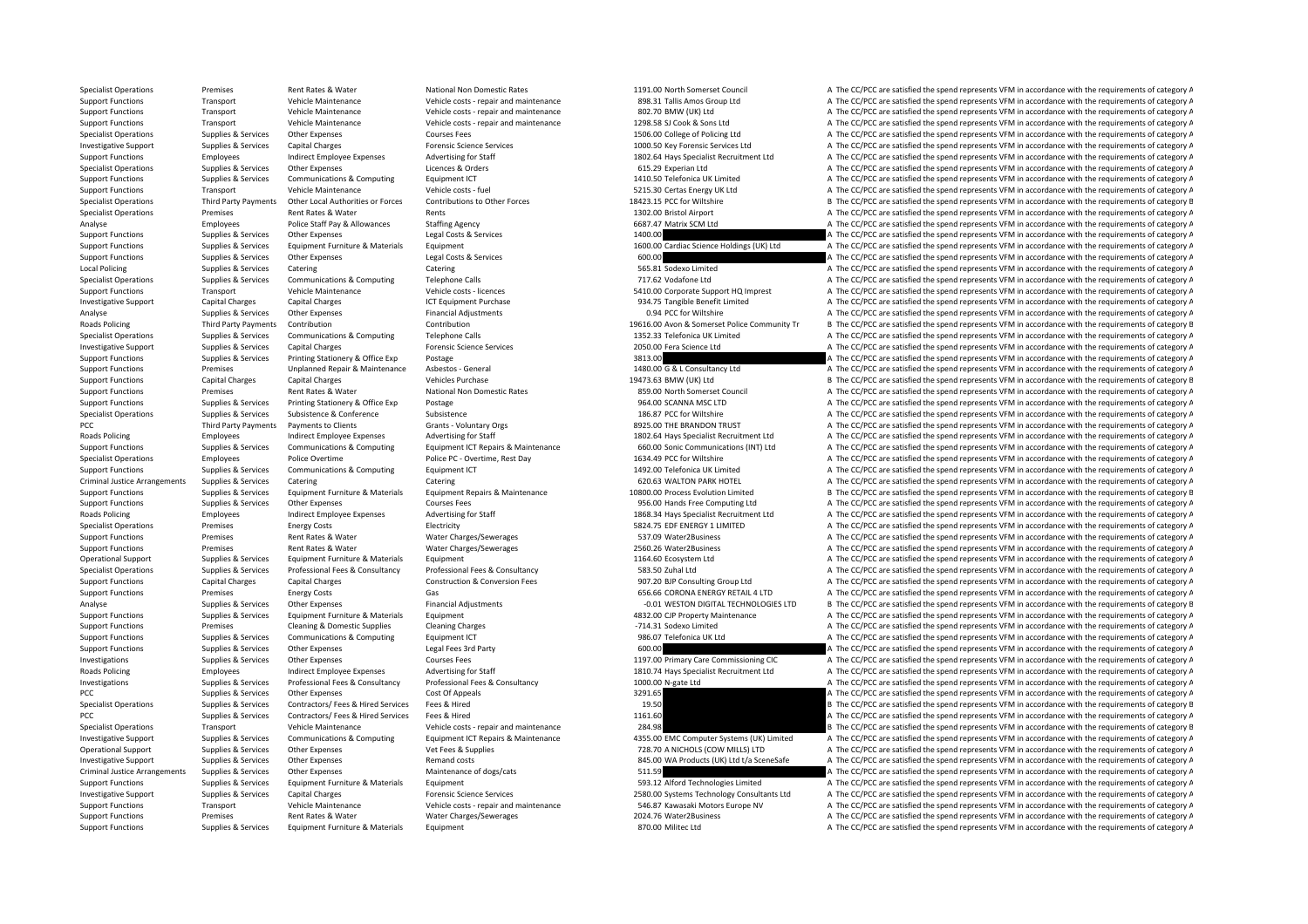Specialist Operations Premises Rent Rates & Water National Non Domestic Rates 1191.00 North Somerset Council A The CC/PCC are satisfied the spend represents VFM in accordance with the requirements of category A Support Functions Transport Vehicle Maintenance Vehicle costs ‐ repair and maintenance 898.31 Tallis Amos Group Ltd A The CC/PCC are satisfied the spend represents VFM in accordance with the requirements of category A The Support Functions Transport Vehicle Maintenance Vehicle costs ‐ repair and maintenance and and the and Maintenance and the Support A The CC/PCC are satisfied the spend represents VFM in accordance with the requirements of Support Functions Transport Vehicle Maintenance Vehicle costs ‐ repair and maintenance 1298.58 SJ Cook & Sons Ltd A The CC/PCC are satisfied the spend represents VFM in accordance with the requirements of category A Specialist Operations Supplies & Services Other Expenses Courses Fees Courses Fees 1506.00 College of Policing Ltd A The CC/PCC are satisfied the spend represents VFM in accordance with the requirements of category A Investigative Support Supplies & Services Capital Charges Forensic Science Services 1000.50 Key Forensic Services Ltd A The CC/PCC are satisfied the spend represents VFM in accordance with the requirements of category A Support Functions Employees Indirect Employee Expenses Advertising for Staff 1802.64 Hays Specialist Recruitment Ltd A The CC/PCC are satisfied the spend represents VFM in accordance with the requirements of category A Specialist Operations Supplies & Services Other Expenses Licences & Orders Licences A Orders Communications A The CONSTRESS Communications of category A The CONSTRESS ARE INCORTATION A The CONSTRESS ARE ORDER CONSTRESS AND Support Functions Supplies & Services Communications & Computing Equipment ICT 1410.50 Telefonica UK Limited A The CC/PCC are satisfied the spend represents VFM in accordance with the requirements of category A Support Functions Transport Vehicle Maintenance Vehicle costs - fuel S215.30 Certas Energy UK Ltd A The CC/PCC are satisfied the spend represents VFM in accordance with the requirements of category A Specialist Operations Third Party Payments Other Local Authorities or Forces Contributions to Other Forces 18423.15 PCC for Wiltshire B The CC/PCC are satisfied the spend represents VFM in accordance with the requirements Specialist Operations Premises Rent Rates & Water Rents Rents Rents Rent Rent Rates Rent Rents Rent Rents Rent Rents Rent Rent Rents Rent Rents A The CC/PCC are satisfied the spend represents VFM in accordance with the req Analyse Employees Police Staff Pay & Allowances Staffing Agency Staff Pay Analyse Stategory A The CC/PCC are satisfied the spend represents VFM in accordance with the requirements of category A The CC/PCC are satisfied the Support Functions Supplies A The Supplies Costs A The CO/PCC are satisfied the Services 2000.<br>A The CC/PCC are satisfied the spend represents VFM in accordance with the requirements of category A Support Functions Supplies & Services Equipment Furniture & Materials Equipment 1600.00 Cardiac Science Holdings (UK) Ltd A The CC/PCC are satisfied the spend represents VFM in accordance with the requirements of category Support Functions Supplies & Services Other Expenses Legal Costs & Services Costs & Services Category A The CC/PCC are satisfied the spend represents VFM in accordance with the requirements of category A Legal Costs & Serv A The CC/PCC are satisfied the spend represents VFM in accordance with the requirements of category A Specialist Operations Supplies & Services Communications & Computing Telephone Calls 717.62 Vodafone Ltd A The CC/PCC are satisfied the spend represents VFM in accordance with the requirements of category A Support Functions Transport Vehicle Maintenance Vehicle costs - licences S410.00 Corporate Support HQ Imprest A The CC/PCC are satisfied the spend represents VFM in accordance with the requirements of category A Investigative Support Capital Charges Capital Charges ICT Equipment Purchase ICT Equipment Purchase 934.75 Tangible Benefit Limited A The CC/PCC are satisfied the spend represents VFM in accordance with the requirements of Analyse Supplies & Services Other Expenses Financial Adjustments Financial Adjustments and the Service of the COMING CONVILISHIRE A The CC/PCC are satisfied the spend represents VFM in accordance with the requirements of c Roads Policing Third Party Payments Contribution Contribution 19616.00 Avon & Somerset Police Community Tr B The CC/PCC are satisfied the spend represents VFM in accordance with the requirements of category B Specialist Operations Supplies & Services Communications & Computing Telephone Calls 1352.33 Telefonica UK Limited A The CC/PCC are satisfied the spend represents VFM in accordance with the requirements of category A Investigative Support Supplies & Services Capital Charges Forensic Science Services Forensic Science Services A The CC/PCC are satisfied the spend represents VFM in accordance with the requirements of category A The CC/PCC Support Functions Supplies & Services Printing Stationery & Office Exp Postage 2013 and 2013 a The CC/PCC are satisfied the spend represents VFM in accordance with the requirements of category A Support Functions Premises Unplanned Repair & Maintenance Asbestos - General 1480.00 G & L Consultancy Ltd A The CC/PCC are satisfied the spend represents VFM in accordance with the requirements of category A The Crime of Support Functions Capital Charges Capital Charges Vehicles Purchase 19473.63 BMW (UK) Ltd B The CC/PCC are satisfied the spend represents VFM in accordance with the requirements of category B Support Functions Premises Rent Rates & Water National Non Domestic Rates 859.00 North Somerset Council A The CC/PCC are satisfied the spend represents VFM in accordance with the requirements of category A Support Functions Supplies & Services Printing Stationery & Office Exp Postage Protage 964.00 SCANNA MSC LTD A The CC/PCC are satisfied the spend represents VFM in accordance with the requirements of category A Specialist Operations Supplies & Services Subsistence Subsistence Subsistence Subsistence Subsistence Subsistence Subsistence Subsistence Subsistence Subsistence Subsistence Subsistence Subsistence Subsistence Subsistence PCC Third Party Payments Payments to Clients Grants - Voluntary Orgs S925.00 THE BRANDON TRUST A The CC/PCC are satisfied the spend represents VFM in accordance with the requirements of category A Grants Crategory Advertis Roads Policing Employees Indirect Employee Expenses Advertising for Staff 1802.64 Hays Specialist Recruitment Ltd A The CC/PCC are satisfied the spend represents VFM in accordance with the requirements of category A Supplies & Services Communications & Computing Communications & Computing Foujoment ICT Repairs & Maintenance 660.00 Sonic Communications (INTI Itd A The CC/PCC are satisfied the spend represents VFM in accordance with the Specialist Operations Employees Police Overtime Police PC - Overtime, Rest Day 1634.49 PCC for Wiltshire A The CC/PCC are satisfied the spend represents VFM in accordance with the requirements of category A Support Functions Supplies & Services Communications & Computing Faultoment ICT 1492.00 Telefonica UK Limited A The CC/PCC are satisfied the spend represents VFM in accordance with the requirements of category A Criminal Justice Arrangements Supplies & Services Catering Catering Catering Catering Catering Catering Catering Catering Catering Catering Catering Catering Category A The CC/PCC are satisfied the spend represents VFM in Supplies & Services Equipment Furniture & Materials Equipment Repairs & Maintenance 10800.00 Process Evolution Limited B The CC/PCC are satisfied the spend represents VFM in accordance with the requirements of category E Support Functions Supplies & Sonices Other Expenses Courses Fees 956.00 Hands Free Computing Ltd A The CC/PCC are satisfied the spend represents VFM in accordance with the requirements of category A The CC/PCC are satisfie Roads Policing Employees Indirect Employee Expenses Advertising for Staff 1868.34 Hays Specialist Recruitment Ltd A The CC/PCC are satisfied the spend represents VFM in accordance with the requirements of category A The Cr Specialist Operations Premises Energy Costs Electricity Electricity Electricity Electricity 5824.75 EDF ENERGY 1 LIMITED A The CC/PCC are satisfied the spend represents VFM in accordance with the requirements of category A Support Functions Premises Rent Rates & Water Water Charges/Sewerages Sames A The CC/PCC are satisfied the spend represents VFM in accordance with the requirements of category A Support Functions Premises Rent Rates & Water Water Charges/Sewerages 2560.26 Water2Business A The CC/PCC are satisfied the spend represents VFM in accordance with the requirements of category A Operational Support Supplies & Services Equipment Furniture & Materials Equipment Furniture & Materials Equipment 1164.60 Ecosystem Ltd A The CC/PCC are satisfied the spend represents VFM in accordance with the requirement Specialist Operations Supplies & Services Professional Fees & Consultancy Professional Fees & Consultancy Professional Fees & Consultancy Professional Fees & Consultancy Professional Fees & Consultancy Professional Fees & Support Functions Capital Charges Capital Charges Construction & Conversion Fees 907.20 BJP Consulting Group Ltd A The CC/PCC are satisfied the spend represents VFM in accordance with the requirements of category A Support Functions Premises Energy Costs Gas Gas Gas and the Support ETAIL 4 LTD A The CC/PCC are satisfied the spend represents VFM in accordance with the requirements of category A Analyse Supplies & Services Other Expenses Financial Adjustments Financial Adjustments **Financial Adjustments Financial Adjustments Financial Adjustments Financial Adjustments Financial Adjustments Financial Adju** Support Functions Supplies & Services Equipment Furniture & Materials Equipment 4832.00 CJP Property Maintenance A The CC/PCC are satisfied the spend represents VFM in accordance with the requirements of category A Support Functions Premises Cleaning & Domestic Supplies Cleaning Charges Cleaning Charges Cleaning Charges Cleaning Charges Cleaning Charges Functions and the CC/PCC are satisfied the spend represents VFM in accordance wit A The CC/PCC are satisfied the spend represents VFM in accordance with the requirements of category A Support Functions Supplies & Services Other Expenses Legal Fees 3rd Party Legal Fees 3rd Party Care Legal Fees Legal Fees Stategory A The CC/PCC are satisfied the spend represents VFM in accordance with the requirements of Investigations Supplies & Services Other Expenses Courses Fees Courses Fees 1197.00 Primary Care Commissioning CIC A The CC/PCC are satisfied the spend represents VFM in accordance with the requirements of category A Roads Policing Employees Indirect Employee Expenses Advertising for Staff 1810.74 Hays Specialist Recruitment Ltd A The CC/PCC are satisfied the spend represents VFM in accordance with the requirements of category A Investigations Supplies & Services Professional Fees & Consultancy Professional Fees & Consultancy Professional Fees & Consultancy A The CODO M‐gate Ltd A The CC/PCC are satisfied the spend represents VFM in accordance wit PCC Supplies & Services Other Expenses Cost Of Appeals Cost Of Appeals 3291.65 A The CC/PCC are satisfied the spend represents VFM in accordance with the requirements of category A Specialist Operations Supplies & Services Contractors/ Fees & Hired Services Fees & Hired 19.50 Services 19.50 B The CC/PCC are satisfied the spend represents VFM in accordance with the requirements of category E PCC The Supplies & Services Contractors/ Fees & Hired Services Fees & Hired 1161.60 A The CC/PCC are satisfied the spend represents VFM in accordance with the requirements of category A Specialist Operations Transport Vehicle Maintenance Vehicle costs ‐ repair and maintenance 284.98 B The CC/PCC are satisfied the spend represents VFM in accordance with the requirements of category B Investigative Support Supplies & Services Communications & Computing Equipment ICT Repairs & Maintenance and A 355.00 EMC Computer Systems (UK) Limited A The CC/PCC are satisfied the spend represents VFM in accordance with A The CC/PCC are satisfied the spend represents VFM in accordance with the requirements of category A Investigative Support Supplies & Services Other Expenses Remand costs 845.00 WA Products 845.00 WA Products (UK) Ltd t/a SceneSafe A The CC/PCC are satisfied the spend represents VFM in accordance with the requirements of Criminal Justice Arrangements Supplies & Services Other Expenses Maintenance of dogs/cats Maintenance of dogs/cats 511.59 A The CC/PCC are satisfied the spend represents VFM in accordance with the requirements of category Support Functions Supplies & Services Equipment Furniture & Materials Equipment 593.12 Alford Technologies Limited A The CC/PCC are satisfied the spend represents VFM in accordance with the requirements of category A Investigative Support Supplies & Services Capital Charges Forensic Science Services Forensic Science Services And Data and Data and Data and Data and Data and the CC/PCC are satisfied the spend represents VFM in accordance Support Functions Transport Vehicle Maintenance Vehicle costs ‐ repair and maintenance 546.87 Kawasaki Motors Europe NV A The CC/PCC are satisfied the spend represents VFM in accordance with the requirements of category A Support Functions Premises Rent Rates & Water Water Charges/Sewerages 2024.76 Water2Business A The CC/PCC are satisfied the spend represents VFM in accordance with the requirements of category A Support Functions Supplies & Services Equipment Furniture & Materials Equipment Bunderials Equipment and A The CC/PCC are satisfied the spend represents VFM in accordance with the requirements of category A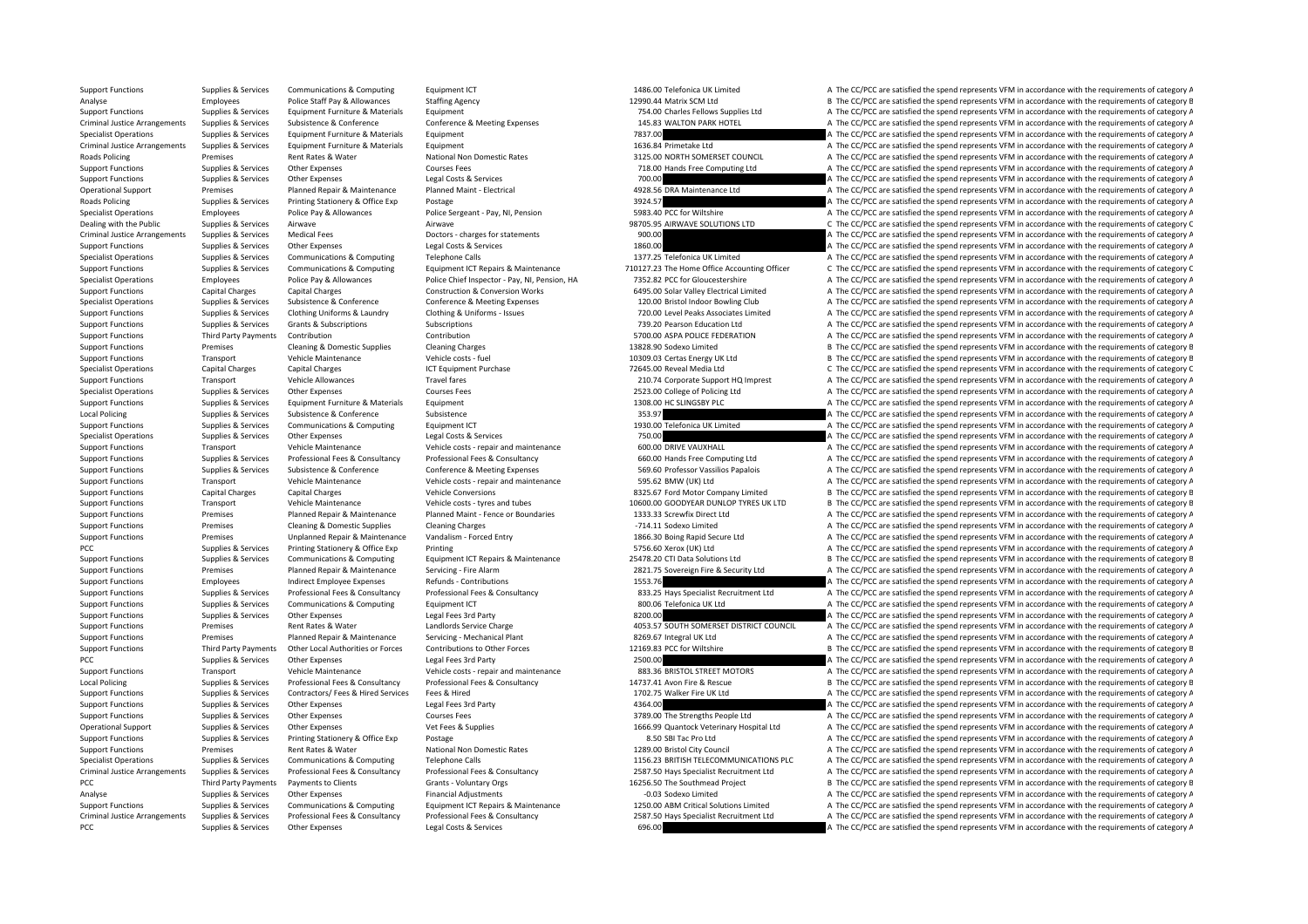PCC PCC are satisfied the spend represents VFM in accordance with the requirements of category A The CC/PCC are satisfied the spend represents VFM in accordance with the requirements of category A

Support Functions Supplies & Services Communications & Computing Equipment ICT 1486.00 Telefonica UK Limited A The CC/PCC are satisfied the spend represents VFM in accordance with the requirements of category A Analyse Employees Police Staff Pay & Allowances Staffing Agency Staff Pay Agency 12990.44 Matrix SCM Ltd B The CC/PCC are satisfied the spend represents VFM in accordance with the requirements of category E<br>Supplies Agency Support Functions Supplies & Services Equipment Furniture & Materials Equipment Equipment Equipment Punctions<br>Criminal Justice Arrangements Supplies & Services Subsistence & Conference Conference Conference & Meeting Excen Criminal Justice Arrangements Supplies & Services Subsistence & Conference Conference Conference Conference Conference Conference Conference Conference Conference Conference Conference Conference Conference Conference Conf Specialist Operations Supplies & Services Foulyment Furniture & Materials Foulyment 7837.00 A The CC/PCC are satisfied the spend represents VFM in accordance with the requirements of category A Criminal Justice Arrangements Supplies & Services Equipment Furniture & Materials Equipment 1636.84 Primetake Ltd A The CC/PCC are satisfied the spend represents VFM in accordance with the requirements of category A Roads Policing Premises Rent Rates & Water National Non Domestic Rates 3125.00 NORTH SOMERSET COUNCIL A The CC/PCC are satisfied the spend represents VFM in accordance with the requirements of category A Support Functions Supplies & Services Other Expenses Courses Fees Courses Fees 718.00 Hands Free Computing Ltd A The CC/PCC are satisfied the spend represents VFM in accordance with the requirements of category A The Crite Support Functions Supplies & Services Other Expenses Legal Costs & Services Legal Costs & Services Process Costs are content of category A The CC/PCC are satisfied the spend represents VFM in accordance with the requiremen Operational Support Premises Planned Repair & Maintenance Planned Maint - Electrical 4928.56 DRA Maintenance Ltd A The CC/PCC are satisfied the spend represents VFM in accordance with the requirements of category A Roads Policing Supplies & Services Printing Stationery & Office Exp Postage Prostage 2012 Printing Stationery A The CC/PCC are satisfied the spend represents VFM in accordance with the requirements of category A The CC/PC Employees Police Pay & Allowances Police Sergeant - Pay, NI, Pension 5983.40 PCC for Wiltshire A The CC/PCC are satisfied the spend represents VFM in accordance with the requirements of category A Dealing with the Public Supplies & Services Airwave Airwave Airwave Airwave Airwave Airwave Airwave Airwave Airwave Airwave Airwave Airwave Airwave Services Airwave Airwave Airwave 98705.95 AIRWAVE SOLUTIONS LTD C The CC/P A The CC/PCC are satisfied the spend represents VFM in accordance with the requirements of category A Support Functions Supplies & Services Other Expenses Legal Costs & Services Legal Costs & Services Legal Costs & Services 1860.00 A The CC/PCC are satisfied the spend represents VFM in accordance with the requirements of c Specialist Operations Supplies & Services Communications & Computing Telephone Calls Telephone Calls 1377.25 Telefonica UK Limited A The CC/PCC are satisfied the spend represents VFM in accordance with the requirements of C The CC/PCC are satisfied the spend represents VFM in accordance with the requirements of category C Specialist Operations Employees Police Pay & Allowances Police Chief Inspector - Pay, NI, Pension, HA 7352.82 PCC for Gloucestershire A The CC/PCC are satisfied the spend represents VFM in accordance with the requirements Support Functions Capital Charges Capital Charges Construction & Conversion Works 6495.00 Solar Valley Electrical Limited A The CC/PCC are satisfied the spend represents VFM in accordance with the requirements of category Specialist Operations Supplies & Services Subsistence & Conference Conference Conference & Meeting Expenses 120.00 Bristol Indoor Bowling Club A The CC/PCC are satisfied the spend represents VFM in accordance with the requ Support Functions Supplies & Services Clothing Uniforms & Laundry Clothing & Uniforms - Issues and the Magnetic Magnetic of the Magnetic Property of the CONNOC Case at the CONNOC ATT A The CONNOC ATT A The CONNOC are satis Support Functions Supplies & Services Grants & Subscriptions Subscriptions Subscriptions Subscriptions Subscriptions Subscriptions Subscriptions and the spend represents VFM in accordance with the requirements of category Support Functions Third Party Payments Contribution Contribution Contribution Contribution Contribution Contribution Contribution Contribution and the SEC/POLICE FEDERATION A The CC/PCC are satisfied the spend represents V Support Functions Premises Cleaning & Domestic Supplies Cleaning Charges Cleaning Charges 13828.90 Sodexo Limited B The CC/PCC are satisfied the spend represents VFM in accordance with the requirements of category E Support Functions Transport Vehicle Maintenance Vehicle costs – fuel 10309.03 Certas Energy UK Ltd B The CC/PCC are satisfied the spend represents VFM in accordance with the requirements of category B Specialist Operations Capital Charges Capital Charges Capital Charges ICT Equipment Purchase ICT Equipment Purchase 72645.00 Reveal Media Ltd C The CC/PCC are satisfied the spend represents VFM in accordance with the requi Support Functions Transport Vehicle Allowances Travel fares Travel fares 210.74 Corporate Support HQ Imprest A The CC/PCC are satisfied the spend represents VFM in accordance with the requirements of category A Specialist Operations Supplies & Services Other Expenses Courses Fees Courses Fees 2523.00 College of Policing Ltd A The CC/PCC are satisfied the spend represents VFM in accordance with the requirements of category A Support Functions Supplies & Services Equipment Furniture & Materials Equipment 1308.00 HC SLINGSBY PLC A The CC/PCC are satisfied the spend represents VFM in accordance with the requirements of category A Local Policing Supplies & Services Subsistence Subsistence Subsistence Subsistence Subsistence Subsistence Subsistence Subsistence Subsistence 353.97 A The CC/PCC are satisfied the spend represents VFM in accordance with t Support Functions Supplies & Services Communications & Computing Equipment ICT 1930.00 Telefonica UK Limited A The CC/PCC are satisfied the spend represents VFM in accordance with the requirements of category A Specialist Operations Supplies & Services Other Expenses Legal Costs & Services 750.00 The COVEC are satisfied the spend represents VFM in accordance with the requirements of category A Support Functions Transport Vehicle Maintenance Vehicle costs ‐ repair and maintenance 600.00 DRIVE VAUXHALL A The CC/PCC are satisfied the spend represents VFM in accordance with the requirements of category A Suppies & Services Professional Fees & Consultancy Professional Fees & Consultancy Professional Fees & Consultancy Professional Fees & Consultancy Professional Fees & Consultancy Professional Fees & Consultancy Professiona Supplies & Services Subsistence & Conference Conference Conference Conference Conference Conference Conference Conference Conference Conference Conference Conference Conference Conference Conference Supplies Facebook analo Support Functions Transport Vehicle Maintenance Vehicle costs ‐ repair and maintenance 595.62 BMW (UK) Ltd A The CC/PCC are satisfied the spend represents VFM in accordance with the requirements of category A Support Functions Capital Charges Capital Charges Vehicle Conversions Vehicle Conversions 8325.67 Ford Motor Company Limited B The CC/PCC are satisfied the spend represents VFM in accordance with the requirements of catego Support Functions Transport Vehicle Maintenance Vehicle costs – tyres and tubes 10600.00 GOODYEAR DUNLOP TYRES UK LTD B The CC/PCC are satisfied the spend represents VFM in accordance with the requirements of category B Support Functions Premises Planned Repair & Maintenance Planned Maint - Fence or Boundaries 1333.33 Screwfix Direct Ltd A The CC/PCC are satisfied the spend represents VFM in accordance with the requirements of category A Support Functions Premises Cleaning & Domestic Supplies Cleaning Charges Cleaning Charges Cleaning Charges Cleaning Charges Cleaning Charges -714.11 Sodexo Limited A The CC/PCC are satisfied the spend represents VFM in acc Support Functions Premises Unplanned Repair & Maintenance Vandalism • Forced Entry 1866.30 Boing Rapid Secure Ltd A The CC/PCC are satisfied the spend represents VFM in accordance with the requirements of category A The CC PCC Supplies & Services Printing Stationery & Office Exp Printing Printing Stategory A The CC/PCC are satisfied the spend represents VFM in accordance with the requirements of category A Support Functions Supplies & Services Communications & Computing Foulipment ICT Repairs & Maintenance 25478.20 CTI Data Solutions Itd B The CC/PCC are satisfied the spend represents VEM in accordance with the requirements Support Functions Premises Planned Repair & Maintenance Servicing - Fire Alarm 2821.75 Sovereign Fire & Security Ltd A The CC/PCC are satisfied the spend represents VFM in accordance with the requirements of category A Support Functions Employees Indirect Employee Expenses Refunds - Contributions 1553.76 1553.76 A The CC/PCC are satisfied the spend represents VFM in accordance with the requirements of category A Support Functions Supplies & Services Professional Fees & Consultancy Professional Fees & Consultancy Professional Fees & Consultancy Professional Fees & Consultancy Professional Fees & Consultancy Professional Fees & Cons Support Functions Supplies & Services Communications & Computing Equipment ICT examples and the Support A The CC/PCC are satisfied the spend represents VFM in accordance with the requirements of category A Support Functions Supplies & Services Other Expenses Legal Fees 3rd Party Legal Fees 3rd Party and the Service Charge and the Service Charge and the Service Charge and the Service Charge and the Service Charge and the Serv Support Functions Premises Rent Rates & Water Landlords Service Charge 1993.57 SOUTH SOMERSET DISTRICT COUNCIL A The CC/PCC are satisfied the spend represents VFM in accordance with the requirements of category A Support F Premises Planned Repair & Maintenance Servicing • Mechanical Plant 8269.67 Integral UK Ltd A The CC/PCC are satisfied the spend represents VFM in accordance with the requirements of category A Support Functions Third Party Payments Other Local Authorities or Forces Contributions to Other Forces 12169.83 PCC for Wiltshire B The CC/PCC are satisfied the spend represents VFM in accordance with the requirements of c PCC PEC Supplies & Services Other Expenses Legal Fees 3rd Party Legal Fees 3rd Party 2500.00 2500.00 A The CC/PCC are satisfied the spend represents VFM in accordance with the requirements of category A Support Functions Transport Vehicle Maintenance Vehicle costs ‐ repair and maintenance 883.36 BRISTOL STREET MOTORS A The CC/PCC are satisfied the spend represents VFM in accordance with the requirements of category A Local Policing Supplies & Services Professional Fees & Consultancy Professional Fees & Consultancy Professional Fees & Consultancy Professional Fees & Consultancy and the material Area and the COPCC are satisfied the spend Support Functions Supplies & Services Contractors/ Fees & Hired Services Fees & Hired 1702.75 Walker Fire UK Ltd A The CC/PCC are satisfied the spend represents VFM in accordance with the requirements of category A Support Functions Supplies & Services Other Expenses Legal Fees 3rd Party Legal Fees 3rd Party 4364.00 A The CC/PCC are satisfied the spend represents VFM in accordance with the requirements of category A Support Functions Supplies & Services Other Expenses Courses Fees Courses Fees 3789.00 The Strengths People Ltd A The CC/PCC are satisfied the spend represents VFM in accordance with the requirements of category A Operational Support Supplies & Services Other Expenses Vet Fees & Supplies Vet Fees & Supplies 1666.99 Quantock Veterinary Hospital Ltd A The CC/PCC are satisfied the spend represents VFM in accordance with the requirement Support Functions Supplies & Services Printing Stationery & Office Exp Postage Prostage 8.50 SBI Tac Pro Ltd Busines and A The CC/PCC are satisfied the spend represents VFM in accordance with the requirements of category A A The CC/PCC are satisfied the spend represents VFM in accordance with the requirements of category A Specialist Operations Supplies & Services Communications & Computing Telephone Calls The COM Dubbar 20156.23 BRITISH TELECOMMUNICATIONS PLC A The CC/PCC are satisfied the spend represents VFM in accordance with the require Criminal Justice Arrangements Supplies & Services Professional Fees & Consultancy Professional Fees & Consultancy Professional Fees & Consultancy Professional Fees & Consultancy Consultancy 2587.50 Hays Specialist Recruitm B The CC/PCC are satisfied the spend represents VFM in accordance with the requirements of category B Analyse Supplies & Services Other Expenses Financial Adjustments Financial Adjustments Financial Adjustments and the COME and the CC/PCC are satisfied the spend represents VFM in accordance with the requirements of categor Supplies & Services Communications & Computing Equipment ICT Repairs & Maintenance 1250.00 ABM Critical Solutions Limited A The CC/PCC are satisfied the spend represents VFM in accordance with the requirements of category Criminal Justice Arrangements Supplies & Services Professional Fees & Consultancy Professional Fees & Consultancy Professional Fees & Consultancy Professional Fees & Consultancy Professional Fees & Consultancy Professional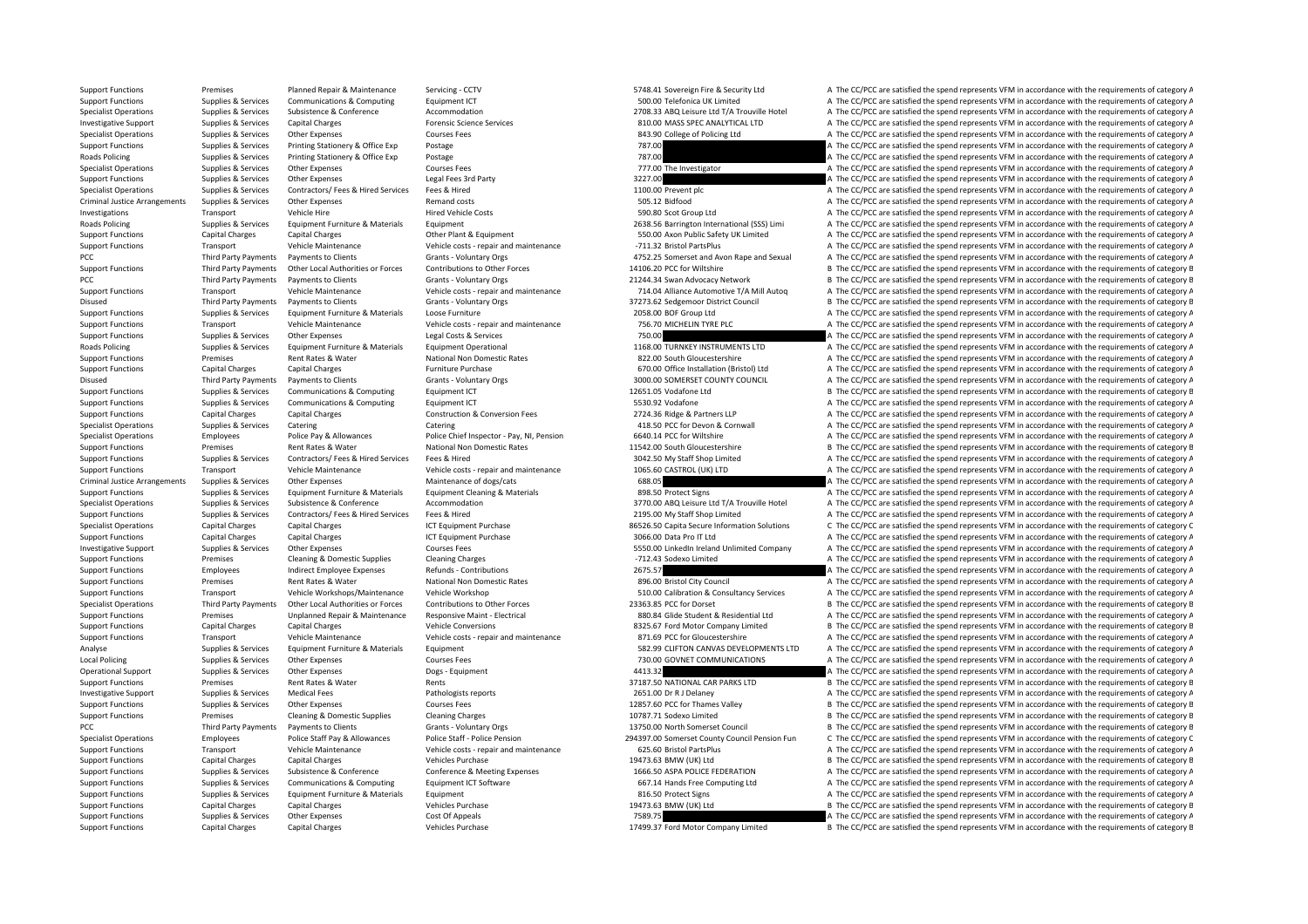Support Functions Premises Planned Repair & Maintenance Servicing - CCTV 5748.41 Sovereign Fire & Security Ltd A The CC/PCC are satisfied the spend represents VFM in accordance with the requirements of category A

Support Functions Supplies & Services Communications & Computing Equipment ICT Support The Services Conference<br>Supplies Supplies & Services Subsistence & Conference Accommodation A The CONS and Designe Limited A The CC/PCC Specialist Operations Supplies & Services Subsistence Subsistence (Conference Accommodation accommodation and a structure of accommodation and a structure of the SPCC are satisfied the spend represents VFM in accordance wi A The CC/PCC are satisfied the spend represents VFM in accordance with the requirements of category A Specialist Operations Supplies & Services Other Expenses Courses Fees Courses Fees 843.90 College of Policing Ltd A The CC/PCC are satisfied the spend represents VFM in accordance with the requirements of category A Support Functions Supplies & Services Printing Stationery & Office Exp Postage 787.00 787.00 A The CC/PCC are satisfied the spend represents VFM in accordance with the requirements of category A Roads Policing Supplies & Services Printing Stationery & Office Exp Postage 787.00 787.00 A The CC/PCC are satisfied the spend represents VFM in accordance with the requirements of category A Specialist Operations Supplies & Services Other Expenses Courses Fees Courses Fees 777.00 The Investigator A The CC/PCC are satisfied the spend represents VFM in accordance with the requirements of category A Support Functions Supplies & Services Other Expenses Legal Fees 3rd Party 3227.00 A The CC/PCC are satisfied the spend represents VFM in accordance with the requirements of category A Specialist Operations Supplies & Services Contractors/ Fees & Hired Services Fees & Hired 1100.00 Prevent plc 1100.00 Prevent plc A The CC/PCC are satisfied the spend represents VFM in accordance with the requirements of c Criminal Justice Arrangements Supplies & Services Other Expenses Services Remand costs Remand costs Remand costs Service A The CC/PCC are satisfied the spend represents VFM in accordance with the requirements of category A Investigations Transport Vehicle Hire Hired Vehicle Costs Hired Vehicle Costs 590.80 Scot Group Ltd A The CC/PCC are satisfied the spend represents VFM in accordance with the requirements of category A Roads Policing Supplies & Services Equipment Furniture & Materials Equipment Equipment Equipment Equipment Equipment Equipment and the CONSC are satisfied the spend represents VFM in accordance with the requirements of cat Support Functions Functions Charges Other Plant Charges Other Plant A The CC/PCC are satisfied the spend represents VFM in accordance with the requirements of category A Support Functions Transport Vehicle Maintenance Vehicle costs - repair and maintenance – -711.32 Bristol PartsPlus A The CC/PCC are satisfied the spend represents VFM in accordance with the requirements of category A PCC Third Party Payments Payments to Clients Grants - Voluntary Orgs Grants - Voluntary Orgs 4752.25 Somerset and Avon Rape and Sexual A The CC/PCC are satisfied the spend represents VFM in accordance with the requirements B The CC/PCC are satisfied the spend represents VFM in accordance with the requirements of category E PCC Third Party Payments Payments to Clients Grants - Voluntary Orgs 21244.34 Swan Advocacy Network B The CC/PCC are satisfied the spend represents VFM in accordance with the requirements of category E Support Functions Transport Vehicle Maintenance Vehicle Costs - repair and maintenance Vehicle Costs - repair and maintenance Vehicle Costs - repair and maintenance 714.04 Alliance Automotive T/A Mill Autoq A The CC/PCC ar Disused Third Party Payments hexternes to Clients Grants - Voluntary Orgs 37273.62 Sedgemoor District Council B The CC/PCC are satisfied the spend represents VFM in accordance with the requirements of category E Support Functions Supplies & Services Equipment Furniture & Materials Loose Furniture Loose Furniture 2058.00 BOF Group Ltd A The CC/PCC are satisfied the spend represents VFM in accordance with the requirements of categor Support Functions Transport Vehicle Maintenance Vehicle costs ‐ repair and maintenance 756.70 MICHELIN TYRE PLC A The CC/PCC are satisfied the spend represents VFM in accordance with the requirements of category A Support Functions Supplies & Services Other Expenses Legal Costs & Services Pupper and the COST of the COST of the COST of the Security of the requirements of category A Roads Policing Supplies & Services Equipment Furniture & Materials Equipment Operational Equipment Operational 1168.00 TURNKEY INSTRUMENTS LTD A The CC/PCC are satisfied the spend represents VFM in accordance with the requ Support Functions Premises Rent Rates & Water National Non Domestic Rates 822.00 South Gloucestershire A The CC/PCC are satisfied the spend represents VFM in accordance with the requirements of category A Support Functions Capital Charges Capital Charges Capital Charges Capital Charges Furniture Purchase Function Purchase 670.00 Office Installation (Bristol) Ltd A The CC/PCC are satisfied the spend represents VFM in accorda Disused Third Party Payments to Clients Grants - Voluntary Orgs 3000.00 SOMERSET COUNTY COUNCIL A The CC/PCC are satisfied the spend represents VFM in accordance with the requirements of category A Support Functions Supplies & Services Communications & Computing Equipment ICT 12651.05 Vodafone Ltd B The CC/PCC are satisfied the spend represents VFM in accordance with the requirements of category E Support Functions Supplies & Services Communications & Computing Equipment ICT 5530.92 Vodafone 5530.92 Vodafone A The CC/PCC are satisfied the spend represents VFM in accordance with the requirements of category A Support Functions Capital Charges Capital Charges Construction & Conversion Fees 2724.36 Ridge & Partners LLP A The CC/PCC are satisfied the spend represents VFM in accordance with the requirements of category A Specialist Operations Supplies & Services Catering Catering Catering Catering Catering Catering Catering Catering Catering Catering A The CC/PCC are satisfied the spend represents VFM in accordance with the requirements of Specialist Operations Employees Police Pay & Allowances Police Chief Inspector - Pay, NJ. Pension 6640.14 PCC for Wiltshire A The CC/PCC are satisfied the spend represents VEM in accordance with the requirements of categor Support Functions Premises Rent Rates & Water National Non Domestic Rates 11542.00 South Gloucestershire B The CC/PCC are satisfied the spend represents VFM in accordance with the requirements of category B Support Functions Supplies & Services Contractors/ Fees & Hired Services Fees & Hired 3042.50 My Staff Shop Limited A The CC/PCC are satisfied the spend represents VFM in accordance with the requirements of category A Support Functions Transport Vehicle Maintenance Vehicle costs ‐ repair and maintenance 1065.60 CASTROL (UK) LTD A The CC/PCC are satisfied the spend represents VFM in accordance with the requirements of category A Criminal Justice Arrangements Supplies & Services Other Expenses Maintenance of dogs/cats Maintenance of dogs/cats 688.05 A The CC/PCC are satisfied the spend represents VFM in accordance with the requirements of category Support Functions Supplies & Services Equipment Furniture & Materials Equipment Cleaning & Materials Bunderials A The CC/PCC are satisfied the spend represents VFM in accordance with the requirements of category A Specialist Operations Supplies & Services Subsistence & Conference Accommodation Accommodation Accommodation Accommodation A 3770.00 ABQ Leisure Ltd T/A Trouville Hotel A The CC/PCC are satisfied the spend represents VFM i Support Functions Supplies & Services Contractors/ Fees & Hired Services Fees & Hired Pees Fees & Hired 2000 My Staff Shop Limited A The CC/PCC are satisfied the spend represents VFM in accordance with the requirements of Specialist Operations Capital Charges Capital Charges ICT Equipment Purchase 86526.50 Capita Secure Information Solutions C The CC/PCC are satisfied the spend represents VFM in accordance with the requirements of category Support Functions Capital Charges Capital Charges Support Purchase ICT Equipment Purchase 3066.00 Data Pro IT Ltd A The CC/PCC are satisfied the spend represents VFM in accordance with the requirements of category A Investigative Support Supplies & Services Other Expenses Courses Fees Courses Fees 5550.00 LinkedIn Ireland Unlimited Company A The CC/PCC are satisfied the spend represents VFM in accordance with the requirements of categ Support Functions Premises Cleaning & Domestic Supplies Cleaning Charges Cleaning Charges Cleaning Charges Cleaning Charges Cleaning Charges Cleaning Charges and The CC/PCC are satisfied the spend represents VFM in accorda Support Functions Employees Indirect Employee Expenses Refunds - Contributions 2675.57 A The CC/PCC are satisfied the spend represents VFM in accordance with the requirements of category A Support Functions Premises Rent Rates & Water National Non Domestic Rates 896.00 Bristol City Council A The CC/PCC are satisfied the spend represents VFM in accordance with the requirements of category A Support Functions Transport Vehicle Workshops/Maintenance Vehicle Workshop 510.00 Calibration & Consultancy Services A The CC/PCC are satisfied the spend represents VFM in accordance with the requirements of category A Specialist Operations Third Party Payments Other Local Authorities or Forces Contributions to Other Forces 23363.85 PCC for Dorset B The CC/PCC are satisfied the spend represents VFM in accordance with the requirements of Support Functions Premises Unplanned Repair & Maintenance Responsive Maint - Electrical and a season and a season and a season and the CC/PCC are satisfied the spend represents VFM in accordance with the requirements of ca Support Functions Capital Charges Capital Charges Capital Charges Vehicle Conversions Vehicle Conversions and maintenance and a station and the CONC are satisfied the spend represents VFM in accordance with the requirement Transport Vehicle Maintenance Vehicle costs - repair and maintenance 871.69 PCC for Gloucestershire A The CC/PCC are satisfied the spend represents VFM in accordance with the requirements of category A Analyse Supplies & Services Equipment Furniture & Materials Equipment Equipment 582.99 CLIFTON CANVAS DEVELOPMENTS LTD A The CC/PCC are satisfied the spend represents VFM in accordance with the requirements of category A Local Policing Supplies & Services Other Expenses Courses Fees Courses Fees 730.00 GOVNET COMMUNICATIONS A The CC/PCC are satisfied the spend represents VFM in accordance with the requirements of category A Operational Support Supplies & Services Other Expenses Dogs - Equipment Dogs - Equipment 4413.32 A The CC/PCC are satisfied the spend represents VFM in accordance with the requirements of category A Support Functions Premises Rent Rates & Water Rents 37187.50 NATIONAL CAR PARKS LTD B The CC/PCC are satisfied the spend represents VFM in accordance with the requirements of category B Investigative Support Supplies & Services Medical Fees Pathologists reports Pathologists reports 2651.00 Dr R J Delaney A The CC/PCC are satisfied the spend represents VFM in accordance with the requirements of category A Support Functions Supplies & Services Other Expenses Courses Fees Courses Fees 12857.60 PCC for Thames Valley B The CC/PCC are satisfied the spend represents VFM in accordance with the requirements of category E Support Functions Premises Cleaning & Domestic Supplies Cleaning Charges Cleaning Charges 10787.71 Sodexo Limited B The CC/PCC are satisfied the spend represents VFM in accordance with the requirements of category E PCC Third Party Payments Payments to Clients Grants - Voluntary Orgs 13750.00 North Somerset Council B The CC/PCC are satisfied the spend represents VFM in accordance with the requirements of category B Specialist Operations Employees Police Staff Pay & Allowances Police Staff - Police Staff - Police Staff - Police Staff - Police Staff - Police Staff - Police Staff - Police Staff - Police Staff - Police Pension 294397.00 A The CC/PCC are satisfied the spend represents VFM in accordance with the requirements of category A Support Functions Capital Charges Capital Charges Vehicles Purchase 19473.63 BMW (UK) Ltd B The CC/PCC are satisfied the spend represents VFM in accordance with the requirements of category E Support Functions Supplies & Services Subsistence & Conference Conference Conference & Conference & Conference Conference & Conference & Conference & Conference & Conference & Conference & Conference & Conference & Confer A The CC/PCC are satisfied the spend represents VFM in accordance with the requirements of category A Support Functions Supplies & Services Equipment Furniture & Materials Equipment Building Equipment Supplies & Services Equipment Equipments of category A The CC/PCC are satisfied the spend represents VFM in accordance with Support Functions Capital Charges Capital Charges Vehicles Purchase 19473.63 BMW (UK) Ltd B The CC/PCC are satisfied the spend represents VFM in accordance with the requirements of category E Support Functions Supplies & Services Other Expenses Cost Of Appeals Cost Of Appeals 7589.75 7589.75 A The CC/PCC are satisfied the spend represents VFM in accordance with the requirements of category A Support Functions Capital Charges Capital Charges Vehicles Purchase Vehicles Purchase 17499.37 Ford Motor Company Limited B The CC/PCC are satisfied the spend represents VFM in accordance with the requirements of category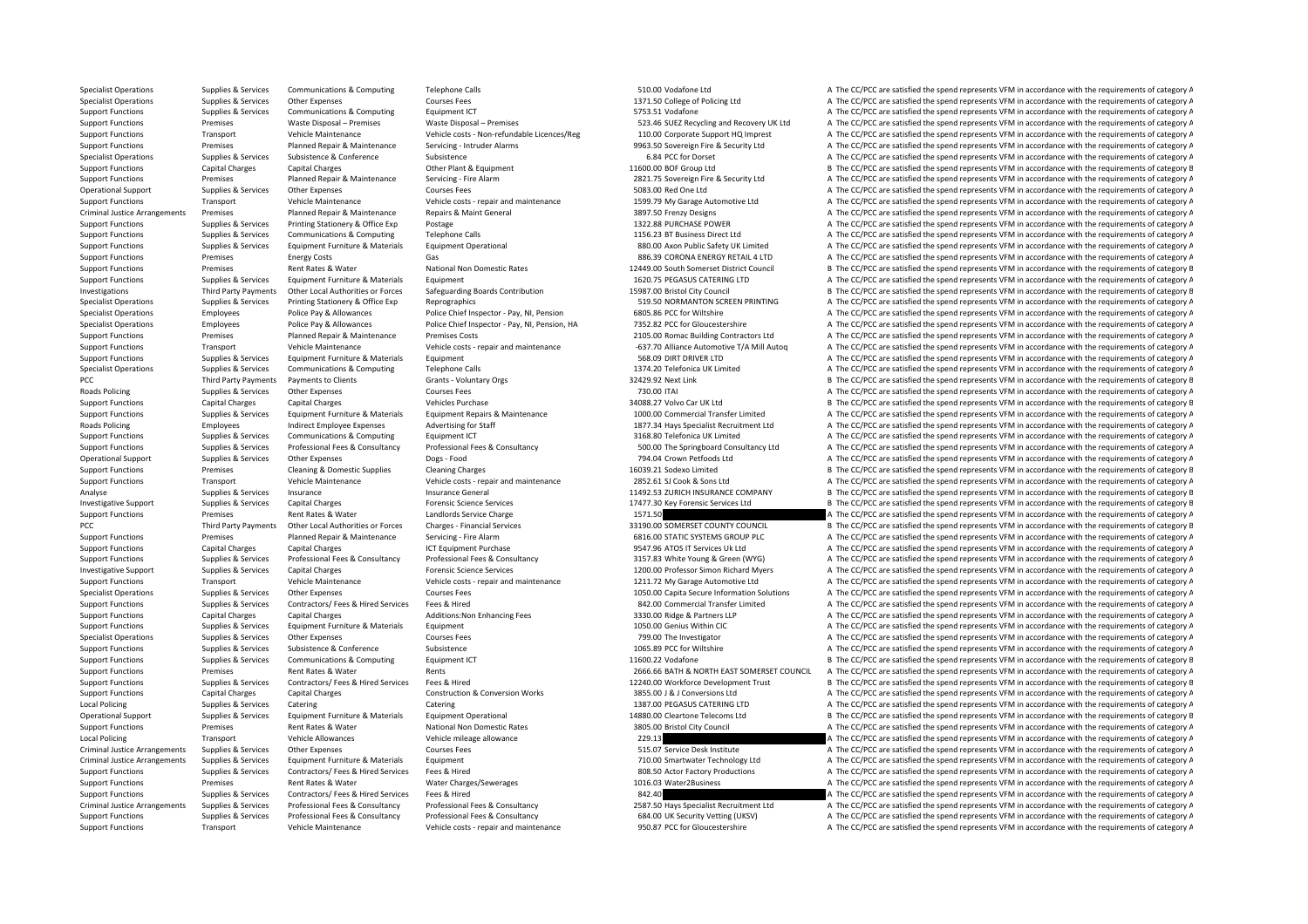Specialist Operations Supplies & Services Communications & Computing Telephone Calls 510.00 Vodafone Ltd A The CC/PCC are satisfied the spend represents VFM in accordance with the requirements of category A Specialist Operations Supplies & Services Other Expenses Courses Fees Courses Fees 1371.50 College of Policing Ltd A The CC/PCC are satisfied the spend represents VFM in accordance with the requirements of category A Support Functions Supplies & Services Communications & Computing Equipment ICT Equipment ICT 5753.51 Vodafone Support A The CC/PCC are satisfied the spend represents VFM in accordance with the requirements of category A Va Support Functions Premises Articliens Premises I and The CC/PCC are satisfied the spend represents VFM in accordance with the requirements of category A Support Functions Transport Vehicle Maintenance Vehicle Costs - Non-refundable Licences/Reg 110.00 Corporate Support HQ Imprest A The CC/PCC are satisfied the spend represents VFM in accordance with the requirements of cat Support Functions Premises Planned Repair & Maintenance Servicing - Intruder Alarms 9963.50 Sovereign Fire & Security Ltd A The CC/PCC are satisfied the spend represents VFM in accordance with the requirements of category Specialist Operations Supplies & Services Subsistence Subsistence Subsistence Subsistence Subsistence Subsistence Subsistence Subsistence Subsistence Subsistence Subsistence Subsistence Subsistence Subsistence Subsistence Support Functions Capital Charges Capital Charges Capital Charges Capital Charges Other Plant & Equipment 11600.00 BOF Group Ltd B The CC/PCC are satisfied the spend represents VFM in accordance with the requirements of ca Support Functions Premises Planned Repair & Maintenance Servicing - Fire Alarm 2821.75 Sovereign Fire & Security Ltd A The CC/PCC are satisfied the spend represents VFM in accordance with the requirements of category A Operational Support Supplies & Services Other Expenses Courses Fees Courses Fees Services Fees 5083.00 Red One Ltd A The CC/PCC are satisfied the spend represents VFM in accordance with the requirements of category A Support Functions Transport Vehicle Maintenance Vehicle costs ‐ repair and maintenance 1599.79 My Garage Automotive Ltd A The CC/PCC are satisfied the spend represents VFM in accordance with the requirements of category A Criminal Justice Arrangements Premises Planned Repair & Maintenance Repairs & Maint General 3897.50 Frenzy Designs A The CC/PCC are satisfied the spend represents VFM in accordance with the requirements of category A Support Functions Supplies & Services Printing Stationery & Office Exp Postage Postage 1322.88 PURCHASE POWER 1322.88 PURCHASE POWER A The CC/PCC are satisfied the spend represents VFM in accordance with the requirements o Support Functions Supplies & Services Communications & Computing Telephone Calls 1156.23 BT Business Direct Ltd A The CC/PCC are satisfied the spend represents VFM in accordance with the requirements of category A Support Functions Supplies & Services Equipment Furniture & Materials Equipment Operational and a services and results are a service satisfied the spend represents VFM in accordance with the requirements of category A Support Functions Premises Energy Costs Gas Gas Gas Gas Bases CORONA ENERGY RETAIL 4 LTD A The CC/PCC are satisfied the spend represents VFM in accordance with the requirements of category A Support Functions Premises Rent B The CC/PCC are satisfied the spend represents VFM in accordance with the requirements of category E Support Functions Supplies & Services Equipment Furniture & Materials Equipment 1620.75 PEGASUS CATERING LTD A The CC/PCC are satisfied the spend represents VFM in accordance with the requirements of category A Third Party Payments Other Local Authorities or Forces Safeguarding Boards Contribution 15987.00 Bristol City Council Barty Council Bartes and represents of category E Specialist Operations Supplies & Services Printing Stationery & Office Exp Reprographics 619.50 NORMANTON SCREEN PRINTING A The CC/PCC are satisfied the spend represents VFM in accordance with the requirements of category Specialist Operations Superventions Employees Police Pay & Allowances Police Chief Inspector - Pay, NI, Pension<br>Specialist Operations Specialist Operations of Category A The Computer of the Chief Inspector Pay, NI, Pension Employees Police Pay & Allowances Police Chief Inspector - Pay NL Pension. HA 7352.82 PCC for Gloucestershire A The CC/PCC are satisfied the spend represents VEM in accordance with the requirements of category A Support Functions Premises Planned Repair & Maintenance Premises Costs 2105.00 Romac Building Contractors Ltd A The CC/PCC are satisfied the spend represents VFM in accordance with the requirements of category A Support Functions Transport Vehicle Maintenance Vehicle Costs - repair and maintenance Vehicle Costs - repair and maintenance C-537.70 Alliance Automotive T/A Mill Autoq A The CC/PCC are satisfied the spend represents VFM Support Functions Supplies & Services Equipment Furniture & Materials Equipment Functions Equipment Services Equipment Equipment Equipment and the Services of category A The CC/PCC are satisfied the spend represents VFM in Specialist Operations Supplies & Services Communications & Computing Telephone Calls Telephone Calls 1374.20 Telefonica UK Limited A The CC/PCC are satisfied the spend represents VFM in accordance with the requirements of PCC Third Party Payments Payments to Clients Grants Voluntary Orgs 32429.92 Next Link B The CC/PCC are satisfied the spend represents VFM in accordance with the requirements of category B Roads Policing Supplies & Services Other Expenses Courses Fees Courses Fees 730.00 ITAI 730.00 ITAI A The CC/PCC are satisfied the spend represents VFM in accordance with the requirements of category A Support Functions Capital Charges Capital Charges Vehicles Purchase Vehicles Purchase 34088.27 Volvo Car UK Ltd B The CC/PCC are satisfied the spend represents VFM in accordance with the requirements of category E Suppliers & Services Suppliers Faultoment Furniture & Materials Faultoment Repairs & Maintenance 1000.00 Commercial Transfer Limited A The CC/PCC are satisfied the spend represents VFM in accordance with the requirements o Roads Policing Employees Indirect Employee Expenses Advertising for Staff 1877.34 Hays Specialist Recruitment Ltd A The CC/PCC are satisfied the spend represents VFM in accordance with the requirements of category A Support Functions Supplies & Services Communications & Computing Foulument ICT 3168.80 Telefonica UK Limited A The CC/PCC are satisfied the spend represents VFM in accordance with the requirements of category A Supplies & Services Professional Fees & Consultancy Professional Fees & Consultancy Professional Fees & Consultancy Professional Fees & Consultancy Consultancy Consultancy 500.00 The Springboard Consultancy Itd A The CC/PC Operational Supplies A Services Other Expenses Dogs - Food Dogs - Food 794.04 Crown Petfoods Ltd A The CC/PCC are satisfied the spend represents VFM in accordance with the requirements of category A Support Functions Premises Cleaning & Domestic Supplies Cleaning Charges Cleaning Charges 16039.21 Sodexo Limited B The CC/PCC are satisfied the spend represents VFM in accordance with the requirements of category B Support Functions Transport Vehicle Maintenance Vehicle costs ‐ repair and maintenance 2852.61 SJ Cook & Sons Ltd A The CC/PCC are satisfied the spend represents VFM in accordance with the requirements of category A Thanki Analyse Supplies & Services Insurance Material Insurance General Insurance General 11492.53 ZURICH INSURANCE COMPANY B The CC/PCC are satisfied the spend represents VFM in accordance with the requirements of category E Investigative Support Supplies & Services Capital Charges Forensic Science Services Forensic Services 17477.30 Key Forensic Services Ltd B The CC/PCC are satisfied the spend represents VFM in accordance with the requiremen Support Functions Premises Premises Rent Rates & Water Landlords Service Charge Landlords Service Charge 1571.50 A The CC/PCC are satisfied the spend represents VFM in accordance with the requirements of category A The CC/ PCC Third Party Payments Other Local Authorities or Forces Charges - Financial Services 33190.00 SOMERSET COUNTY COUNCIL B The CC/PCC are satisfied the spend represents VFM in accordance with the requirements of category B Support Functions Premises Planned Repair & Maintenance Servicing - Fire Alarm 6816.00 STATIC SYSTEMS GROUP PLC A The CC/PCC are satisfied the spend represents VFM in accordance with the requirements of category A Support Functions Capital Charges Capital Charges Capital Charges ICT Equipment Purchase 1CT Equipment Purchase 9547.96 ATOS IT Services Uk Ltd A The CC/PCC are satisfied the spend represents VFM in accordance with the req Supplies & Services Professional Fees & Consultancy Professional Fees & Consultancy Professional Fees & Consultancy Professional Fees & Consultancy 2157.83 White Young & Green (WYG) A The CC/PCC are satisfied the spend rep Investigative Support Supplies & Services Capital Charges Forensic Science Services Forensic Science Services Forensic Science Services 1200.00 Professor Simon Richard Myers A The CC/PCC are satisfied the spend represents Support Functions Transport Vehicle Maintenance Vehicle costs - repair and maintenance 1211.72 My Garage Automotive Ltd A The CC/PCC are satisfied the spend represents VFM in accordance with the requirements of category A Specialist Operations Supplies & Services Other Expenses Courses Fees Courses Fees 1050.00 Capita Secure Information Solutions A The CC/PCC are satisfied the spend represents VFM in accordance with the requirements of cate Support Functions Supplies & Services Contractors/ Fees & Hired Services Fees & Hired Services Fees & Hired Services Fees & Hired A The C2, DC ommercial Transfer Limited A The CC/PCC are satisfied the spend represents VFM Support Functions Capital Charges Capital Charges Additions:Non Enhancing Fees 3330.00 Ridge & Partners LLP A The CC/PCC are satisfied the spend represents VFM in accordance with the requirements of category A Support Functions Supplies & Services Equipment Furniture & Materials Equipment Equipment Equipment Equipment<br>
Specialist Operations Supplies & Services Other Expenses Courses Fees Courses Fees 799.00 The Investigator A Th Specialist Operations Supplies & Services Other Expenses Courses Fees Courses Fees 799.00 The Investigator A The CC/PCC are satisfied the spend represents VFM in accordance with the requirements of category A Support Functions Supplies & Services Subsistence Subsistence Subsistence Subsistence Subsistence Subsistence Subsistence Subsistence Subsistence Subsistence Subsistence Subsistence Subsistence Subsistence Subsistence Subs Support Functions Supplies & Services Communications & Computing Equipment ICT 11600.22 Vodafone 11600.22 Vodafone B The CC/PCC are satisfied the spend represents VFM in accordance with the requirements of category E Support Functions Premises Rent Rates & Water Rents Rents Rents Rents Rents 2666.66 BATH & NORTH EAST SOMERSET COUNCIL A The CC/PCC are satisfied the spend represents VFM in accordance with the requirements of category A Support Functions Supplies & Services Contractors/ Fees & Hired Services Fees & Hired 12240.00 Workforce Development Trust B The CC/PCC are satisfied the spend represents VFM in accordance with the requirements of category Support Functions Capital Charges Capital Charges Construction & Conversion Works 3855.00 J & J Conversions Ltd A The CC/PCC are satisfied the spend represents VFM in accordance with the requirements of category A Local Policing Supplies & Services Catering Catering Catering Catering Catering Catering Catering Catering Category A The CC/PCC are satisfied the spend represents VFM in accordance with the requirements of category A Operational Supples & Services Equipment Furniture & Materials Equipment Operational Equipment Operational Equipment Operational 14880.00 Cleartone Telecoms Ltd B The CC/PCC are satisfied the spend represents VFM in accord Support Functions Premises Rent Rates & Water National Non Domestic Rates 3805.00 Bristol City Council A The CC/PCC are satisfied the spend represents VFM in accordance with the requirements of category A Local Policing Transport Cransport Vehicle Allowances Vehicle mileage allowance Vehicle mileage allowance Vehicle mileage allowance 229.13 A The CC/PCC are satisfied the spend represents VFM in accordance with the requirem A The CC/PCC are satisfied the spend represents VFM in accordance with the requirements of category A Criminal Justice Arrangements Supplies & Services Equipment Furniture & Materials Equipment Equipment Equipment Equipment Equipment Equipment Equipment Perhanology Ltd A The CC/PCC are satisfied the spend represents VFM in Support Functions Supplies & Services Contractors/ Fees & Hired Services Fees & Hired Services Fees & Hired 808.50 Actor Factory Productions A The CC/PCC are satisfied the spend represents VFM in accordance with the requir A The CC/PCC are satisfied the spend represents VFM in accordance with the requirements of category A Support Functions Supplies & Services Contractors/ Fees & Hired Services Fees & Hired Services Fees & Hired Services Fees & Hired 842.40 A The CC/PCC are satisfied the spend represents VFM in accordance with the requiremen Criminal Justice Arrangements Supplies & Services Professional Fees & Consultancy Professional Fees & Consultancy Professional Fees & Consultancy Professional Fees & Consultancy Professional Fees & Consultancy Professional Supplies & Services Professional Fees & Consultancy Professional Fees & Consultancy Professional Fees & Consultancy Professional Fees & Consultancy Professional Fees & Consultancy Professional Fees & Consultancy examples a Support Functions Transport Vehicle Maintenance Vehicle costs ‐ repair and maintenance 950.87 PCC for Gloucestershire A The CC/PCC are satisfied the spend represents VFM in accordance with the requirements of category A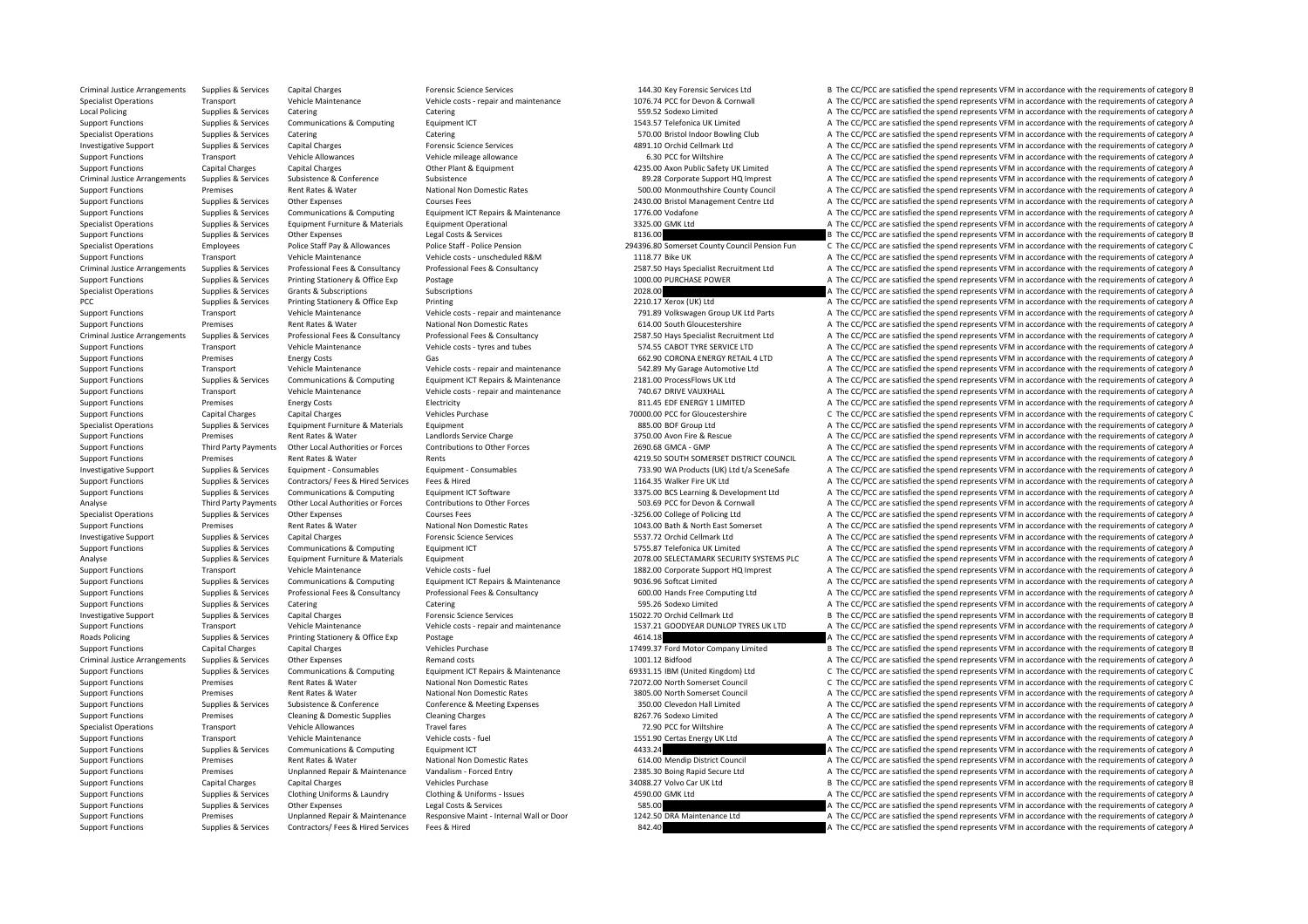Criminal Justice Arrangements Supplies & Services Capital Charges Forensic Science Services (Services Capital Charges Forensic Science Services and the Services of the CC/PCC are satisfied the spend represents VFM in accor Specialist Operations Transport Vehicle Maintenance Vehicle Costs - repair and maintenance Vehicle Costs - repair and maintenance 1076.74 PCC for Devon & Cornwall A The CC/PCC are satisfied the spend represents VFM in acco Local Policing Supplies A Services Catering Catering Catering Catering Catering Catering Catering Catering Catering Catering Catering Supplies a Services Communications & Computing Equipment ICT Supplies and the Services C Support Functions Support Functions Supplies Computing Inc.<br>Support Telefonical UK Limited A The CC/PCC are satisfied the spend represents VFM in accordance with the requirements of category A Specialist Operations Supplies & Services Catering Supplies Category A Catering Catering Catering Category A The CC/PCC are satisfied the spend represents VFM in accordance with the requirements of category A Investigative Support Supplies & Services Capital Charges Forensic Science Services Forensic Science Services A The CC/PCC are satisfied the spend represents VFM in accordance with the requirements of category A The CC/PCC Support Functions Transport Vehicle Allowances Vehicle mileage allowance Vehicle mileage allowance Vehicle mileage allowance a The C.C for Wiltshire A The CC/PCC are satisfied the spend represents VFM in accordance with th Support Functions Capital Charges Capital Charges Capital Charges Other Plant & Equipment 235.00 Axon Public Safety UK Limited A The CC/PCC are satisfied the spend represents VFM in accordance with the requirements of cate Criminal Justice Arrangements Supplies & Services Subsistence Subsistence Subsistence Subsistence Subsistence Subsistence Subsistence Subsistence Subsistence and the spend represents VFM in accordance with the requirements Support Functions Premises Premises Rent Rates & Water National Non Domestic Rates Support The Support Functions and the experiments of category A The CC/PCC are satisfied the spend represents VFM in accordance with the re Support Functions Supplies & Services Other Expenses Courses Fees Courses Fees 2430.00 Bristol Management Centre Ltd A The CC/PCC are satisfied the spend represents VFM in accordance with the requirements of category A The Support Functions Supplies & Services Communications & Computing Equipment ICT Repairs & Maintenance 1776.00 Vodafone A The CC/PCC are satisfied the spend represents VFM in accordance with the requirements of category A Specialist Operations Supplies & Services Equipment Furniture & Materials Equipment Operational Equipment Operational and a The CC/PCC are satisfied the spend represents VFM in accordance with the requirements of category B The CC/PCC are satisfied the spend represents VFM in accordance with the requirements of category E Specialist Operations Employees Police Staff Pay & Allowances Police Staff - Police Cast Police Pension Police Cast Police Pension Police Cast Police Pension 294396.80 Somerset County Council Pension Fun C The CC/PCC are s Support Functions Transport Vehicle Maintenance Vehicle costs – unscheduled R&M 1118.77 Bike UK A The CC/PCC are satisfied the spend represents VFM in accordance with the requirements of category A Criminal Justice Arrange A The CC/PCC are satisfied the spend represents VFM in accordance with the requirements of category A Support Functions Supplies & Services Printing Stationery & Office Exp Postage Printing Stationery and The CONDUCHASE POWER A The CC/PCC are satisfied the spend represents VFM in accordance with the requirements of categor Specialist Operations Supplies & Services Grants & Subscriptions Subscriptions Subscriptions Subscriptions Subscriptions 2028.00 A The CC/PCC are satisfied the spend represents VFM in accordance with the requirements of ca PCC Supplies & Services Printing Stationery & Office Exp Printing Printing 2210.17 Xerox (UK) Ltd A The CC/PCC are satisfied the spend represents VFM in accordance with the requirements of category A Support Functions Transport Vehicle Maintenance Vehicle Costs - repair and maintenance 791.89 Volkswagen Group UK Ltd Parts A The CC/PCC are satisfied the spend represents VFM in accordance with the requirements of categor Support Functions Premises Rent Rates & Water National Non Domestic Rates 614.00 South Gloucestershire A The CC/PCC are satisfied the spend represents VFM in accordance with the requirements of category A Criminal Justice Arrangements Supplies & Services Professional Fees & Consultancy Professional Fees & Consultancy Professional Fees & Consultancy Professional Fees & Consultancy Professional Fees & Consultancy Professional Support Functions Transport Vehicle Maintenance Vehicle costs ‐ tyres and tubes 574.55 CABOT TYRE SERVICE LTD A The CC/PCC are satisfied the spend represents VFM in accordance with the requirements of category A Support Functions Premises Fuergy Costs Gas Gas Gas 662.90 CORONA ENERGY RETAIL 4 LTD A The CC/PCC are satisfied the spend represents VFM in accordance with the requirements of category A Support Functions Transport Vehicle Maintenance Vehicle costs ‐ repair and maintenance 542.89 My Garage Automotive Ltd A The CC/PCC are satisfied the spend represents VFM in accordance with the requirements of category A T Support Functions Supplies & Sonices Communications Communications Communications Communications Communications Communications Communications Communications Communications Communications Communications Communications Commu Support Functions Transport Vehicle Maintenance Vehicle costs ‐ repair and maintenance 740.67 DRIVE VAUXHALL A The CC/PCC are satisfied the spend represents VFM in accordance with the requirements of category A Support Functions Premises Energy Costs Electricity Electricity and Electricity and the COV Care ENERGY 1 LIMITED A The CC/PCC are satisfied the spend represents VFM in accordance with the requirements of category A Support Functions Capital Charges Capital Charges Vehicles Purchase 70000.00 PCC for Gloucestershire C The CC/PCC are satisfied the spend represents VFM in accordance with the requirements of category C Specialist Operations Supplies & Services Equipment Furniture & Materials Equipment Butines Equipment and A The CC/PCC are satisfied the spend represents VFM in accordance with the requirements of category A Support Functions Premises Rent Rates & Water Landlords Service Charge 3750.00 Avon Fire & Rescue A The CC/PCC are satisfied the spend represents VFM in accordance with the requirements of category A Support Functions Third Party Payments Other Local Authorities or Forces Contributions to Other Forces 2690.68 GMCA ‐ GMP A The CC/PCC are satisfied the spend represents VFM in accordance with the requirements of category Support Functions Premises Rent Rates & Water Rents Rents Rents Rents And Rents According a District COUNCIL A The CC/PCC are satisfied the spend represents VFM in accordance with the requirements of category A Investigative Supplement Supplies Sacrices Foundation Consumables Foundation Fundation Consumables Foundation Consumables Fundation Consumables 733.90 WA Products (UK) I to the CC/PCC are satisfied the spend represents VFM Support Functions Supplies & Services Contractors/ Fees & Hired Fees & Hired Fees & Hired Services Fees & Hired Explied A The CC/PCC are satisfied the spend represents VFM in accordance with the requirements of category A Supplies & Services Communications & Computing Equipment ICT Software exercises and a state of category a saming & Development Ltd A The CC/PCC are satisfied the spend represents VFM in accordance with the requirements of Third Party Payments Other Local Authorities or Forces Contributions to Other Forces Soutch Conter Forces SO3.69 PCC for Devon & Cornwall A The CC/PCC are satisfied the spend represents VFM in accordance with the requireme Specialist Operations Supplies & Services Other Expenses Courses Fees Courses Fees – 3256.00 College of Policing Ltd A The CC/PCC are satisfied the spend represents VFM in accordance with the requirements of category A Support Functions Premises Rent Rates & Water National Non Domestic Rates 1043.00 Bath & North East Somerset A The CC/PCC are satisfied the spend represents VFM in accordance with the requirements of category A Investigative Support Support Support Support Capital Charges Services Forensic Science Services 5537.72 Orchid Cellmark Ltd A The CC/PCC are satisfied the spend represents VFM in accordance with the requirements of catego Support Functions Supplies & Services Communications & Computing Equipment ICT 5755.87 Telefonica UK Limited A The CC/PCC are satisfied the spend represents VFM in accordance with the requirements of category A Analyse Supplies & Services Equipment Furniture & Materials Foutpment 2078.00 SELECTAMARK SECURITY SYSTEMS PLC A The CC/PCC are satisfied the spend represents VFM in accordance with the requirements of category A Support Functions Transport Vehicle Maintenance Vehicle costs ‐ fuel 1882.00 Corporate Support HQ Imprest A The CC/PCC are satisfied the spend represents VFM in accordance with the requirements of category A Support Functions Supplies & Services Communications & Computing Equipment ICT Repairs & Maintenance and a man described by the CONS Softcat Limited a man and A The CC/PCC are satisfied the spend represents VFM in accordan Supplies & Services Professional Fees & Consultancy Professional Fees & Consultancy Professional Fees & Consultancy Professional Fees & Consultancy Professional Fees & Consultancy Professional Fees & Consultancy Profession Support Functions Supplies & Services Catering Catering Catering Catering Catering Catering Catering Catering Catering Catering Catering Catering Supplies & Services Category A The CC/PCC are satisfied the spend represents Investigative Support Supplies & Services Capital Charges Forensic Science Services Forensic Science Services 15022.70 Orchid Cellmark Ltd B The CC/PCC are satisfied the spend represents VFM in accordance with the requirem Support Functions Transport Vehicle Maintenance Vehicle Costs-repair and maintenance 1537.21 GOODYEAR DUNLOP TYRES UK LTD A The CC/PCC are satisfied the spend represents VFM in accordance with the requirements of category Roads Policing Supplies & Services Printing Stationery & Office Exp Postage 1990 Postage 4614.18 A The CC/PCC are satisfied the spend represents VFM in accordance with the requirements of category A Support Functions Capital Charges Capital Charges Vehicles Purchase Vehicles Purchase 17499.37 Ford Motor Company Limited B The CC/PCC are satisfied the spend represents VFM in accordance with the requirements of category Criminal Justice Arrangements Supplies & Services Other Expenses Remand costs Remand costs Remand costs 1001.12 Bidfood A The CC/PCC are satisfied the spend represents VFM in accordance with the requirements of category A Supplies & Services Communications & Computing Equipment ICT Repairs & Maintenance 69331.15 IBM (United Kingdom) Ltd C The CC/PCC are satisfied the spend represents VFM in accordance with the requirements of category ( Support Functions Premises Rent Rates & Water National Non Domestic Rates 72072.00 North Somerset Council C The CC/PCC are satisfied the spend represents VFM in accordance with the requirements of category C Support Functions Premises Rent Rates & Water National Non Domestic Rates 3805.00 North Somerset Council A The CC/PCC are satisfied the spend represents VFM in accordance with the requirements of category A Support Functions Supplies & Services Subsistence & Conference Conference Conference & Meeting Expenses 350.00 Clevedon Hall Limited A The CC/PCC are satisfied the spend represents VFM in accordance with the requirements o Support Functions Premises Cleaning & Domestic Supplies Cleaning Charges Cleaning Charges B267.76 Sodexo Limited A The CC/PCC are satisfied the spend represents VFM in accordance with the requirements of category A Specialist Operations Transport Vehicle Allowances Travel fares Travel fares 72.90 PCC for Wiltshire A The CC/PCC are satisfied the spend represents VFM in accordance with the requirements of category A Support Functions Transport Vehicle Maintenance Vehicle costs - fuel vehicle costs - fuel 1551.90 Certas Energy UK Ltd A The CC/PCC are satisfied the spend represents VFM in accordance with the requirements of category A T A The CC/PCC are satisfied the spend represents VFM in accordance with the requirements of category A Support Functions Premises Rent Rates & Water National Non Domestic Rates 614.00 Mendip District Council A The CC/PCC are satisfied the spend represents VFM in accordance with the requirements of category A Support Functions Premises Premises Unplanned Repair & Maintenance Vandalism - Forced Entry 2385.30 Boing Rapid Secure Ltd A The CC/PCC are satisfied the spend represents VFM in accordance with the requirements of category B The CC/PCC are satisfied the spend represents VFM in accordance with the requirements of category E Support Functions Supplies & Services Clothing Uniforms & Laundry Clothing & Uniforms - Issues 4590.00 GMK Ltd A The CC/PCC are satisfied the spend represents VFM in accordance with the requirements of category A Support Functions Supplies & Services Other Expenses Legal Costs & Services Services Services Services Services Services Services Services Services Services Services Services Services Services Services Services Services Se Support Functions Premises Unplanned Repair & Maintenance Responsive Maint - Internal Wall or Door 1242.50 DRA Maintenance Ltd A The CC/PCC are satisfied the spend represents VFM in accordance with the requirements of cate Support Functions Supplies & Services Contractors/ Fees & Hired Services Fees & Hired Services Fees & Hired Services Fees & Hired 842.40 A The CC/PCC are satisfied the spend represents VFM in accordance with the requiremen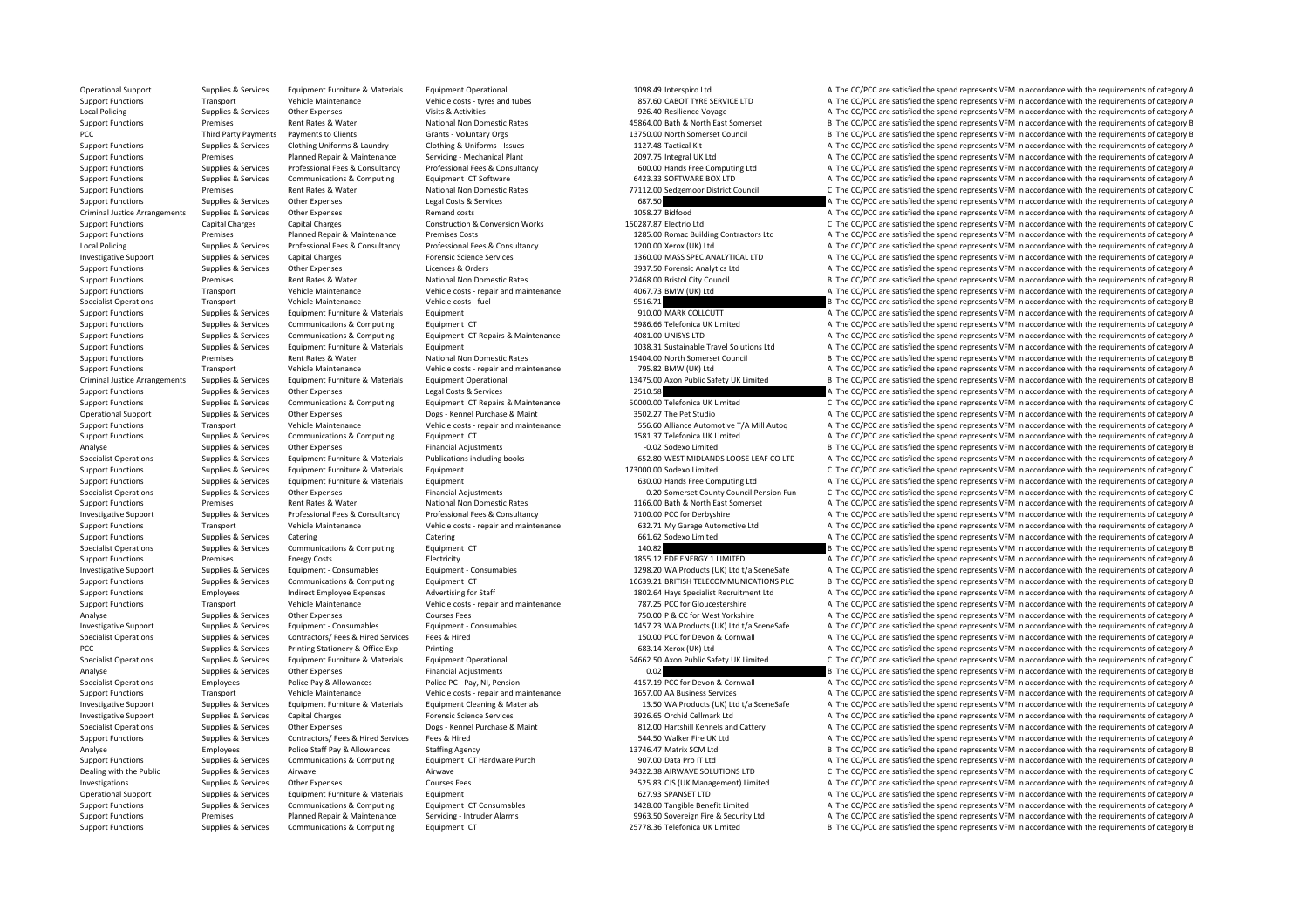Operational Support Supplies & Services Equipment Furniture & Materials Equipment Operational 1098.49 Interspiro Ltd A The CC/PCC are satisfied the spend represents VFM in accordance with the requirements of category A Support Functions Transport Vehicle Maintenance Vehicle costs – tyres and tubes 857.60 CABOT TYRE SERVICE LTD A The CC/PCC are satisfied the spend represents VFM in accordance with the requirements of category A Local Policing Supplies & Services Other Expenses Visits & Activities Visits & Activities Visits & Activities 926.40 Resilience Voyage A The CC/PCC are satisfied the spend represents VFM in accordance with the requirements B The CC/PCC are satisfied the spend represents VFM in accordance with the requirements of category E PCC Third Party Payments Payments to Clients Grants - Voluntary Orgs 13750.00 North Somerset Council B The CC/PCC are satisfied the spend represents VFM in accordance with the requirements of category B Support Functions Supplies & Services Clothing Uniforms & Laundry Clothing & Uniforms - Issues 1127.48 Tactical Kit A The CC/PCC are satisfied the spend represents VFM in accordance with the requirements of category A Support Functions Premises Planned Repair & Maintenance Servicing - Mechanical Plant 2097.75 Integral UK Ltd A The CC/PCC are satisfied the spend represents VFM in accordance with the requirements of category A Support Functions Supplies & Services Professional Fees & Consultancy Professional Fees & Consultancy Professional Fees & Consultancy Professional Fees & Consultancy Professional Fees & Consultancy Professional Fees & Cons Support Functions Supplies & Services Communications & Computing Equipment ICT Software Equipment ICT Software 6423.33 SOFTWARE BOX LTD A The CC/PCC are satisfied the spend represents VFM in accordance with the requirement Support Functions Premises Rent Rates & Water National Non Domestic Rates 77112.00 Sedgemoor District Council C The CC/PCC are satisfied the spend represents VFM in accordance with the requirements of category C Support Functions Supplies & Services Other Expenses Legal Costs & Services Legal Costs & Services Costs Costs Costs Costs Costs Costs Costs Costs Costs Costs Costs Costs Costs Costs Costs Costs Costs Costs Costs Costs Cos Criminal Justice Arrangements Supplies & Services Other Expenses Remand costs Remand costs Remand costs 1058.27 Bidfood A The CC/PCC are satisfied the spend represents VFM in accordance with the requirements of category A Support Functions Capital Charges Capital Charges Capital Charges Capital Charges Capital Charges Capital Charges Capital Charges Construction & Construction & Conversion Works 150287.87 Electrio Ltd Conversion Conversion Support Functions Premises Premises Premises A The CC/PCC are satisfied the spend represents VFM in accordance with the requirements of category A Local Policing Supplies & Services Professional Fees & Consultancy Professional Fees & Consultancy Professional Fees & Consultancy Professional Fees & Consultancy Professional Fees & Consultancy Professional Fees & Consult Investigative Support Supplies & Services Capital Charges Services Forensic Science Services 1360.00 MASS SPEC ANALYTICAL LTD A The CC/PCC are satisfied the spend represents VFM in accordance with the requirements of categ A The CC/PCC are satisfied the spend represents VFM in accordance with the requirements of category A Support Functions Premises Rent Rates & Water National Non Domestic Rates 27468.00 Bristol City Council B The CC/PCC are satisfied the spend represents VFM in accordance with the requirements of category B Support Functions Transport Vehicle Maintenance Vehicle costs ‐ repair and maintenance 4067.73 BMW (UK) Ltd A The CC/PCC are satisfied the spend represents VFM in accordance with the requirements of category A Specialist Operations Transport Vehicle Maintenance Vehicle costs ‐ fuel 9516.71 9516.71 B The CC/PCC are satisfied the spend represents VFM in accordance with the requirements of category B Support Functions Supplies & Services Equipment Furniture & Materials Equipment equipment equipment equipment equipment equipment equipment a the COLLCUTT A The CC/PCC are satisfied the spend represents VFM in accordance w Support Functions Supplies & Services Communications & Computing For Functions and Computing Computing Computing For Functions of Computing The COPCC are satisfied the spend represents VFM in accordance with the requiremen Support Functions Supplies & Services Communications & Computing Equipment ICT Repairs & Maintenance 4081.00 UNISYS LTD A The CC/PCC are satisfied the spend represents VFM in accordance with the requirements of category A Support Functions Supplies & Services Equipment Furniture & Materials Equipment 1038.31 Sustainable Travel Solutions Ltd A The CC/PCC are satisfied the spend represents VFM in accordance with the requirements of category A Support Functions Premises Rent Rates & Water National Non Domestic Rates 19404.00 North Somerset Council B The CC/PCC are satisfied the spend represents VFM in accordance with the requirements of category B Support Functions Transport Vehicle Maintenance Vehicle costs ‐ repair and maintenance 795.82 BMW (UK) Ltd A The CC/PCC are satisfied the spend represents VFM in accordance with the requirements of category A The Criminal B. The CC/PCC are satisfied the spend represents VEM in accordance with the requirements of category B. Support Functions Supplies & Services Other Expenses Legal Costs & Services 2510.58 2510.58 A The CC/PCC are satisfied the spend represents VFM in accordance with the requirements of category A Suppies & Services Communications & Computing Equipment ICT Repairs & Maintenance 50000.00 Telefonica UK Limited C The CC/PCC are satisfied the spend represents VFM in accordance with the requirements of category ( Operational Support Supplies & Services Other Expenses Dogs – Kennel Purchase & Maint 3502.27 The Pet Studio A The CC/PCC are satisfied the spend represents VFM in accordance with the requirements of category A Support Functions Transport Transport Wehicle Maintenance Vehicle costs - repair and maintenance S56.60 Alliance Automotive T/A Mill Autoq A The CC/PCC are satisfied the spend represents VFM in accordance with the requirem Support Functions Supplies & Services Communications & Computing Foulument ICT 1581.37 Telefonica UK Limited A The CC/PCC are satisfied the spend represents VFM in accordance with the requirements of category A Analyse Supplies & Services Other Expenses Financial Adjustments – COD Sodexo Limited B The CC/PCC are satisfied the spend represents VFM in accordance with the requirements of category B Specialist Operations Supplies & Services Equipment Furniture & Materials Publications including books 652.80 WEST MIDLANDS LOOSE LEAF CO LTD A The CC/PCC are satisfied the spend represents VFM in accordance with the requi Support Functions Supplies & Services Faujoment Furniture & Materials Faujoment 173000.00 Sodexo Limited C The CC/PCC are satisfied the spend represents VFM in accordance with the requirements of category C Support Functions Supplies & Services Equipment Furniture & Materials Equipment 630.00 Hands Free Computing Ltd A The CC/PCC are satisfied the spend represents VFM in accordance with the requirements of category A Specialist Operations Supplies & Services Other Expenses Financial Adjustments County County County Council Pension Fun C The CC/PCC are satisfied the spend represents VFM in accordance with the requirements of category C Support Functions Premises Rent Rates & Water National Non Domestic Rates 1166.00 Bath & North East Somerset A The CC/PCC are satisfied the spend represents VFM in accordance with the requirements of category A Investigative Support Supplies & Services Professional Fees & Consultancy Professional Fees & Consultancy Professional Fees & Consultancy Professional Fees & Consultancy Professional Fees & Consultancy Professional Fees & Support Functions Transport Vehicle Maintenance Vehicle costs ‐ repair and maintenance 632.71 My Garage Automotive Ltd A The CC/PCC are satisfied the spend represents VFM in accordance with the requirements of category A Support Functions Supplies & Services Catering Catering Catering Catering Catering Catering Catering Catering Category A The CC/PCC are satisfied the spend represents VFM in accordance with the requirements of category A Specialist Operations Supplies & Services Communications & Computing Equipment ICT 2002 140.82 B The CC/PCC are satisfied the spend represents VFM in accordance with the requirements of category E Support Functions Premises Energy Costs Functions Electricity Functions and the COSTS of the CORE in the spend represents VFM in accordance with the requirements of category A Investigative Support Supplies & Services Equipment - Consumables Equipment - Consumables Equipment - Consumables Equipment - Consumables (CONSUMA) and the CONSULTION Ltd of SceneSafe A The CC/PCC are satisfied the spend r Support Functions Supplies & Services Communications & Computing Equipment ICT 16639.21 BRITISH TELECOMMUNICATIONS PLC B The CC/PCC are satisfied the spend represents VFM in accordance with the requirements of category B Support Functions Employees Indirect Employee Expenses Advertising for Staff 1802.64 Hays Specialist Recruitment Ltd A The CC/PCC are satisfied the spend represents VFM in accordance with the requirements of category A Support Functions Transport Vehicle Maintenance Vehicle costs ‐ repair and maintenance 787.25 PCC for Gloucestershire A The CC/PCC are satisfied the spend represents VFM in accordance with the requirements of category A Analyse Supplies & Services Other Expenses Courses Fees Courses Fees The COURC are satisfied the spend represents VFM in accordance with the requirements of category A Investigative Support Supplies & Services Equipment - Consumables Equipment - Consumables Equipment - Consumables Equipment - Consumables examples and the material of the COPCC for Devon & Cornel (UK) Ltd t/a SceneSafe A T A The CC/PCC are satisfied the spend represents VFM in accordance with the requirements of category A PCC Supplies & Services Printing Stationery & Office Exp Printing Printing 683.14 Xerox (UK) Ltd A The CC/PCC are satisfied the spend represents VFM in accordance with the requirements of category A Specialist Operations Supplies & Services Equipment Furniture & Materials Equipment Operational Equipment Operational SAG62.50 Axon Public Safety UK Limited C The CC/PCC are satisfied the spend represents VFM in accordance Analyse Supplies & Services Other Expenses Financial Adjustments Financial Adjustments and the CONSET CHANNET DRIVER AND THE CC/PCC are satisfied the spend represents VFM in accordance with the requirements of category B Specialist Operations Employees Police Pay & Allowances Police PC - Pay, NI, Pension 4157.19 PCC for Devon & Cornwall A The CC/PCC are satisfied the spend represents VFM in accordance with the requirements of category A Th Support Functions Transport Vehicle Maintenance Vehicle costs ‐ repair and maintenance 1657.00 AA Business Services A The CC/PCC are satisfied the spend represents VFM in accordance with the requirements of category A Investigative Support Supplies & Services Equipment Furniture & Materials Equipment Cleaning & Materials Equipment Cleaning & Materials Equipment Cleaning & Materials 13.50 WA Products (UK) Ltd t/a SceneSafe A The CC/PCC a Investigative Support Supplies & Services Capital Charges Forensic Science Services Forensic Science Services 3926.65 Orchid Cellmark Ltd A The CC/PCC are satisfied the spend represents VFM in accordance with the requireme Specialist Operations Supplies & Services Other Expenses Dogs - Kennel Purchase & Maint 812.00 Hartshill Kennels and Cattery A The CC/PCC are satisfied the spend represents VEM in accordance with the requirements of catego Support Functions Supplies & Services Contractors/ Fees & Hired Fees & Hired Services Fees & Hired 544.50 Walker Fire UK Ltd A The CC/PCC are satisfied the spend represents VFM in accordance with the requirements of catego B The CC/PCC are satisfied the spend represents VFM in accordance with the requirements of category E Support Functions Supplies & Services Communications & Computing Equipment ICT Hardware Purch 907.00 Data Pro IT Ltd A The CC/PCC are satisfied the spend represents VFM in accordance with the requirements of category A Dealing with the Public Supplies & Services Airwave Airwave Airwave Airwave Airwave Airwave Airwave Airwave Airwave Airwave Airwave Airwave 94322.38 AIRWAVE SOLUTIONS LTD C The CC/PCC are satisfied the spend represents VFM A The CC/PCC are satisfied the spend represents VFM in accordance with the requirements of category A Operational Support Supplies & Services Equipment Furniture & Materials Equipment 621.93 SPANSET LTD A The CC/PCC are satisfied the spend represents VFM in accordance with the requirements of category A Support Functions Supplies & Services Communications & Computing Equipment ICT Consumables 1428.00 Tangible Benefit Limited A The CC/PCC are satisfied the spend represents VFM in accordance with the requirements of categor Support Functions Premises Planned Repair & Maintenance Servicing - Intruder Alarms 9963.50 Sovereign Fire & Security Ltd A The CC/PCC are satisfied the spend represents VFM in accordance with the requirements of category Support Functions Supplies & Services Communications & Computing Equipment ICT 25778.36 Telefonica UK Limited B The CC/PCC are satisfied the spend represents VFM in accordance with the requirements of category E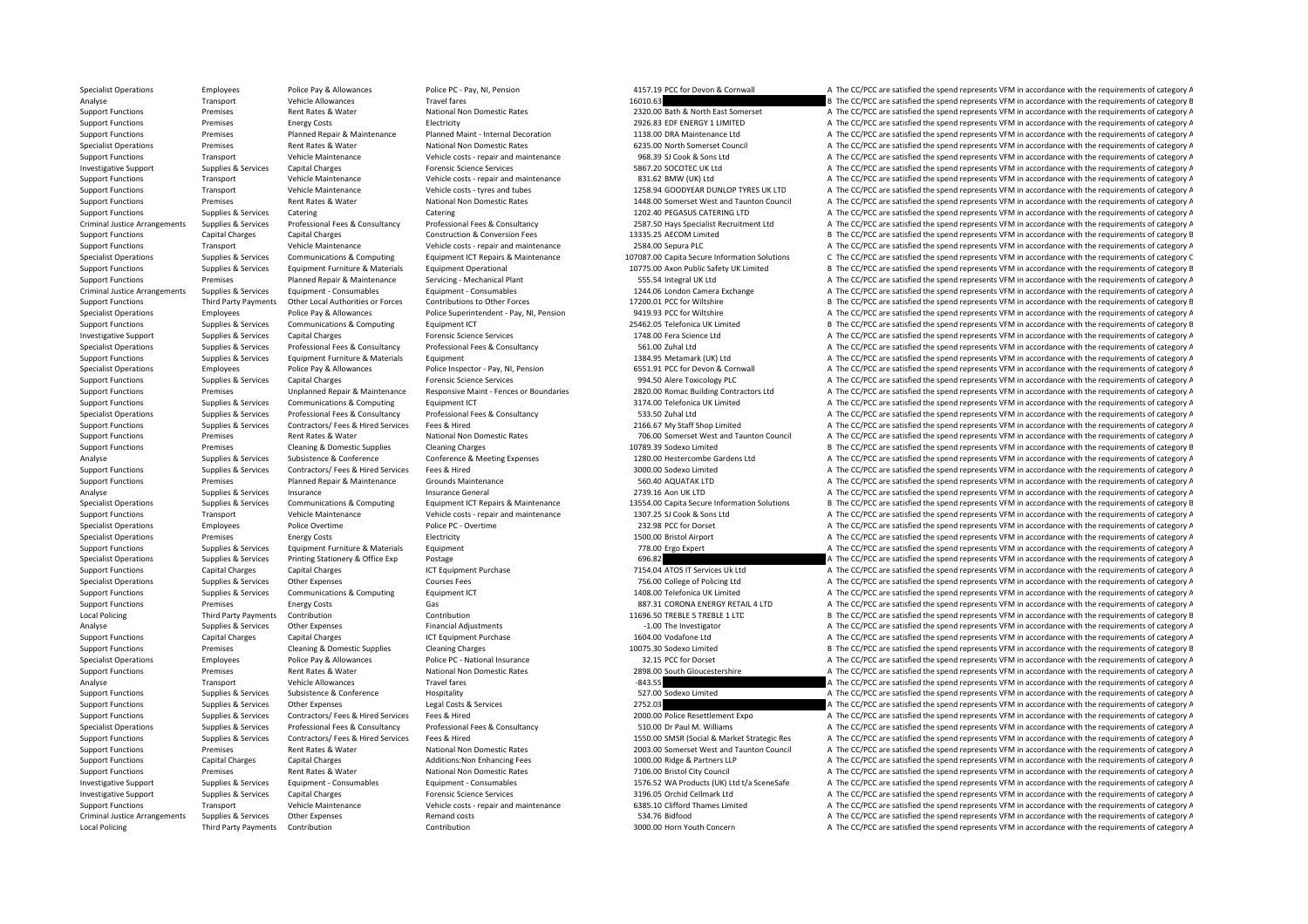Specialist Operations Employees Police Pay & Allowances Police PC - Pay, NI, Pension 4157.19 PCC for Devon & Cornwall A The CC/PCC are satisfied the spend represents VFM in accordance with the requirements of category A Analyse 16010.63 Transport Vehicle Allowances Travel fares Travel fares 16010.63 B The CC/PCC are satisfied the spend represents VFM in accordance with the requirements of category E<br>Support Functions Premises Rent Rates & Support Functions Premises Rent Rates & Water National Non Domestic Rates 2320.00 Bath & North East Somerset A The CC/PCC are satisfied the spend represents VFM in accordance with the requirements of category A The CC/PC a Support Functions Premises Energy Costs Electricity Electricity and the costs Electricity and the COSTS EDF ENERGY 1 LIMITED A The CC/PCC are satisfied the spend represents VFM in accordance with the requirements of catego Support Functions Premises Planned Repair & Maintenance Planned Maint - Internal Decoration 1138.00 DRA Maintenance Itd A The CC/PCC are satisfied the spend represents VFM in accordance with the requirements of category A Specialist Operations Premises Rent Rates & Water National Non Domestic Rates 6235.00 North Somerset Council A The CC/PCC are satisfied the spend represents VFM in accordance with the requirements of category A Support Functions Transport Vehicle Maintenance Vehicle costs ‐ repair and maintenance 968.39 SJ Cook & Sons Ltd A The CC/PCC are satisfied the spend represents VFM in accordance with the requirements of category A Investigative Support Supplies & Services Capital Charges Forensic Science Services Forensic Science Services Forensic Services 5867.20 SOCOTEC UK Ltd A The CC/PCC are satisfied the spend represents VFM in accordance with Support Transport Vehicle Maintenance Vehicle costs ‐ repair and maintenance 831.62 BMW (UK) Ltd A The CC/PCC are satisfied the spend represents VFM in accordance with the requirements of category A Support Functions Transport Vehicle Maintenance Vehicle costs ‐ tyres and tubes 1258.94 GOODYEAR DUNLOP TYRES UK LTD A The CC/PCC are satisfied the spend represents VFM in accordance with the requirements of category A Support Functions Premises Premises Rent Rates & Water National Non Domestic Rates 1448.00 Somerset West and Taunton Council A The CC/PCC are satisfied the spend represents VFM in accordance with the requirements of catego Support Functions Supplies & Services Catering Catering Catering Catering Catering Catering Catering Catering Catering Catering Catering Catering Catering Category A The CC/PCC are satisfied the spend represents VFM in acc Criminal Justice Arrangements Supplies & Services Professional Fees & Consultancy Professional Fees & Consultancy Professional Fees & Consultancy Professional Fees & Consultancy Professional Fees & Consultancy Professional B The CC/PCC are satisfied the spend represents VFM in accordance with the requirements of category E Support Functions Transport Vehicle Maintenance Vehicle costs ‐ repair and maintenance 2584.00 Sepura PLC A The CC/PCC are satisfied the spend represents VFM in accordance with the requirements of category A Specialist Operations Supplies & Services Communications & Computing Equipment ICT Repairs & Maintenance 107087.00 Capita Secure Information Solutions C The CC/PCC are satisfied the spend represents VFM in accordance with B The CC/PCC are satisfied the spend represents VFM in accordance with the requirements of category E Support Functions Premises Planned Repair & Maintenance Servicing - Mechanical Plant 555.54 Integral UK Ltd A The CC/PCC are satisfied the spend represents VFM in accordance with the requirements of category A Criminal Justice Arrangements Supplies & Services Equipment - Consumables Equipment - Consumables Equipment - Consumables Equipment - Consumables Equipment - Consumables Equipment - Consumables Equipment - Consumables And Support Functions Third Party Payments Other Local Authorities or Forces Contributions to Other Forces 17200.01 PCC for Wiltshire B The CC/PCC are satisfied the spend represents VFM in accordance with the requirements of c Specialist Operations Employees Police Pay & Allowances Police Superintendent - Pay, NI, Pension 9419.93 PCC for Wiltshire A The CC/PCC are satisfied the spend represents VFM in accordance with the requirements of category Support Functions Supplies & Services Communications & Computing Faultoment ICT 25462.05 Telefonica UK Limited B The CC/PCC are satisfied the spend represents VFM in accordance with the requirements of category B Investigative Support Supplies & Services Capital Charges Forensic Science Services Forensic Science Services 1748.00 Fera Science Ltd A The CC/PCC are satisfied the spend represents VFM in accordance with the requirements Specialist Operations Supplies & Services Professional Fees & Consultancy Professional Fees & Consultancy Professional Fees & Consultancy Professional Fees & Consultancy Professional Fees & Consultancy Services Services an Support Functions Supplies & Services Faujoment Furniture & Materials Faujoment 1384.95 Metamark (UK) Ltd A The CC/PCC are satisfied the spend represents VFM in accordance with the requirements of category A Specialist Operations Employees Police Pay & Allowances Police Inspector - Pay, NJ, Pension Police Inspector - Pay, NJ, Pension 6551.91 PCC for Devon & Cornwall A The CC/PCC are satisfied the spend represents VFM in accord Support Functions Supplies & Services Capital Charges Forensic Science Services 994.50 Alere Toxicology PLC A The CC/PCC are satisfied the spend represents VFM in accordance with the requirements of category A Support Functions Premises Unplanned Repair & Maintenance Responsive Maint - Fences or Boundaries 2820.00 Romac Building Contractors Ltd A The CC/PCC are satisfied the spend represents VFM in accordance with the requiremen Support Functions Supplies & Services Communications & Computing Equipment ICT 3174.00 Telefonica UK Limited A The CC/PCC are satisfied the spend represents VFM in accordance with the requirements of category A Specialist Operations Supplies & Services Professional Fees & Consultancy Professional Fees & Consultancy 533.50 Zuhal Ltd A The CC/PCC are satisfied the spend represents VFM in accordance with the requirements of category Support Functions Supplies & Services Contractors/ Fees & Hired Services Fees & Hired 2166.67 My Staff Shop Limited A The CC/PCC are satisfied the spend represents VFM in accordance with the requirements of category A Support Functions Premises Rent Rates & Water National Non Domestic Rates 706.00 Somerset West and Taunton Council A The CC/PCC are satisfied the spend represents VFM in accordance with the requirements of category A Support Functions Premises Cleaning & Domestic Supplies Cleaning Charges Cleaning Charges 10789.39 Sodexo Limited B The CC/PCC are satisfied the spend represents VFM in accordance with the requirements of category B Analyse Supplies & Services Subsistence & Conference Conference & Meeting Expenses 1280.00 Hestercombe Gardens Ltd A The CC/PCC are satisfied the spend represents VFM in accordance with the requirements of category A Support Functions Supplies & Services Contractors/ Fees & Hired Services Fees & Hired 3000.00 Sodexo Limited A The CC/PCC are satisfied the spend represents VFM in accordance with the requirements of category A Support Functions Premises Planned Repair & Maintenance Grounds Maintenance and the SOLAO AQUATAK LTD A The CC/PCC are satisfied the spend represents VFM in accordance with the requirements of category A Analyse Supplies & Services Insurance Insurance Insurance General Insurance General A The CZ99.16 Aon UK LTD A The CC/PCC are satisfied the spend represents VFM in accordance with the requirements of category A Supplies & Services Communications & Computing Equipment ICT Repairs & Maintenance 13554.00 Capita Secure Information Solutions B The CC/PCC are satisfied the spend represents VFM in accordance with the requirements of cat Support Functions Transport Vehicle Maintenance Vehicle costs ‐ repair and maintenance 1307.25 SJ Cook & Sons Ltd A The CC/PCC are satisfied the spend represents VFM in accordance with the requirements of category A Specialist Operations Employees Police Overtime Police PC - Overtime Police PC - Overtime 232.98 PCC for Dorset A The CC/PCC are satisfied the spend represents VFM in accordance with the requirements of category A Specialist Operations Premises Energy Costs Electricity Electricity and the Specialist Operations and the CC/PCC are satisfied the spend represents VFM in accordance with the requirements of category A Support Functions Supplies & Services Equipment Furniture & Materials Equipment A The CONC Ergo Expert A The CC/PCC are satisfied the spend represents VFM in accordance with the requirements of category A Specialist Operations Supplies & Services Printing Stationery & Office Exp Postage 696.82 696.82 A The CC/PCC are satisfied the spend represents VFM in accordance with the requirements of category A Support Functions Capital Charges Capital Charges ICT Equipment Purchase 7154.04 ATOS IT Services Uk Ltd A The CC/PCC are satisfied the spend represents VFM in accordance with the requirements of category A Specialist Operations Supplies & Services Other Expenses Courses Fees Courses Fees 756.00 College of Policing Ltd A The CC/PCC are satisfied the spend represents VFM in accordance with the requirements of category A Support Functions Supplies & Services Communications & Computing Equipment ICT 1408.00 Telefonica UK Limited A The CC/PCC are satisfied the spend represents VFM in accordance with the requirements of category A Support Functions Premises Energy Costs Gas Gas Base and the COST A The CC/PCC are satisfied the spend represents VFM in accordance with the requirements of category A Local Policing Third Party Payments Contribution Contribution Contribution Contribution Contribution Contribution Contribution Contribution and Contribution 11696.50 TREBLE 1 LTD B The CC/PCC are satisfied the spend repres Analyse Supplies & Services Other Expenses Financial Adjustments Financial Adjustments → 1.00 The Investigator A The CC/PCC are satisfied the spend represents VFM in accordance with the requirements of category A The CC/ A The CC/PCC are satisfied the spend represents VFM in accordance with the requirements of category A Support Functions Premises Cleaning & Domestic Supplies Cleaning Charges Cleaning Charges 10075.30 Sodexo Limited B The CC/PCC are satisfied the spend represents VFM in accordance with the requirements of category E Specialist Operations Employees Police Pay & Allowances Police PC - National Insurance 32.15 PCC for Dorset A The CC/PCC are satisfied the spend represents VFM in accordance with the requirements of category A Support Functions Premises Rent Rates & Water National Non Domestic Rates 2898.00 South Gloucestershire A The CC/PCC are satisfied the spend represents VFM in accordance with the requirements of category A Analyse Transport Vehicle Allowances Travel fares Travel fares and the CONSTANT CONCLUST A The CC/PCC are satisfied the spend represents VFM in accordance with the requirements of category A The CONSTANT A The CONCLUST A T Support Functions Supplies & Services Subsistence & Conference Hospitality Hospitality 527.00 Sodexo Limited A The CC/PCC are satisfied the spend represents VFM in accordance with the requirements of category A Support Functions Supplies & Services Other Expenses Legal Costs & Services Legal Costs & Services Costs & Services 2752.03 A The CC/PCC are satisfied the spend represents VFM in accordance with the requirements of categor Support Functions Supplies & Services Contractors/ Fees & Hired Services Fees & Hired 2000.00 Police Resettlement Expo A The CC/PCC are satisfied the spend represents VFM in accordance with the requirements of category A Specialist Operations Supplies & Services Professional Fees & Consultancy Professional Fees & Consultancy Professional Fees & Consultancy Professional Fees & Consultancy Supplies New Still Dubble 2010 Dr Paul M. Williams A Support Functions Supplies & Services Contractors/Fees & Hired Services Fees & Hired Services Fees & Hired Services Fees & Hired Services Fees & Hired Services Fees & Hired Mational Non Domestic Rates Support at the Contra A The CC/PCC are satisfied the spend represents VFM in accordance with the requirements of category A Support Functions Capital Charges Capital Charges Additions:Non Enhancing Fees 1000.00 Ridge & Partners LLP A The CC/PCC are satisfied the spend represents VFM in accordance with the requirements of category A Support Functions Premises Premises Antity Rent Rates Avater National Non Domestic Rates Mater 2016.00 Bristol City Council A The CC/PCC are satisfied the spend represents VFM in accordance with the requirements of categor A The CC/PCC are satisfied the spend represents VFM in accordance with the requirements of category A Investigative Support Supplies & Services Capital Charges Forensic Science Services Forensic Science Services A The Cellmark Ltd A The CC/PCC are satisfied the spend represents VFM in accordance with the requirements of ca Support Functions Transport Vehicle Maintenance Vehicle costs ‐ repair and maintenance 6385.10 Clifford Thames Limited A The CC/PCC are satisfied the spend represents VFM in accordance with the requirements of category A Criminal Justice Arrangements Supplies & Services Other Expenses Remand costs Remand costs Remand costs 534.76 Bidfood A The CC/PCC are satisfied the spend represents VFM in accordance with the requirements of category A Local Policing Third Party Payments Contribution Contribution Contribution Contribution Contribution Contribution Contribution A The CC/PCC are satisfied the spend represents VFM in accordance with the requirements of cate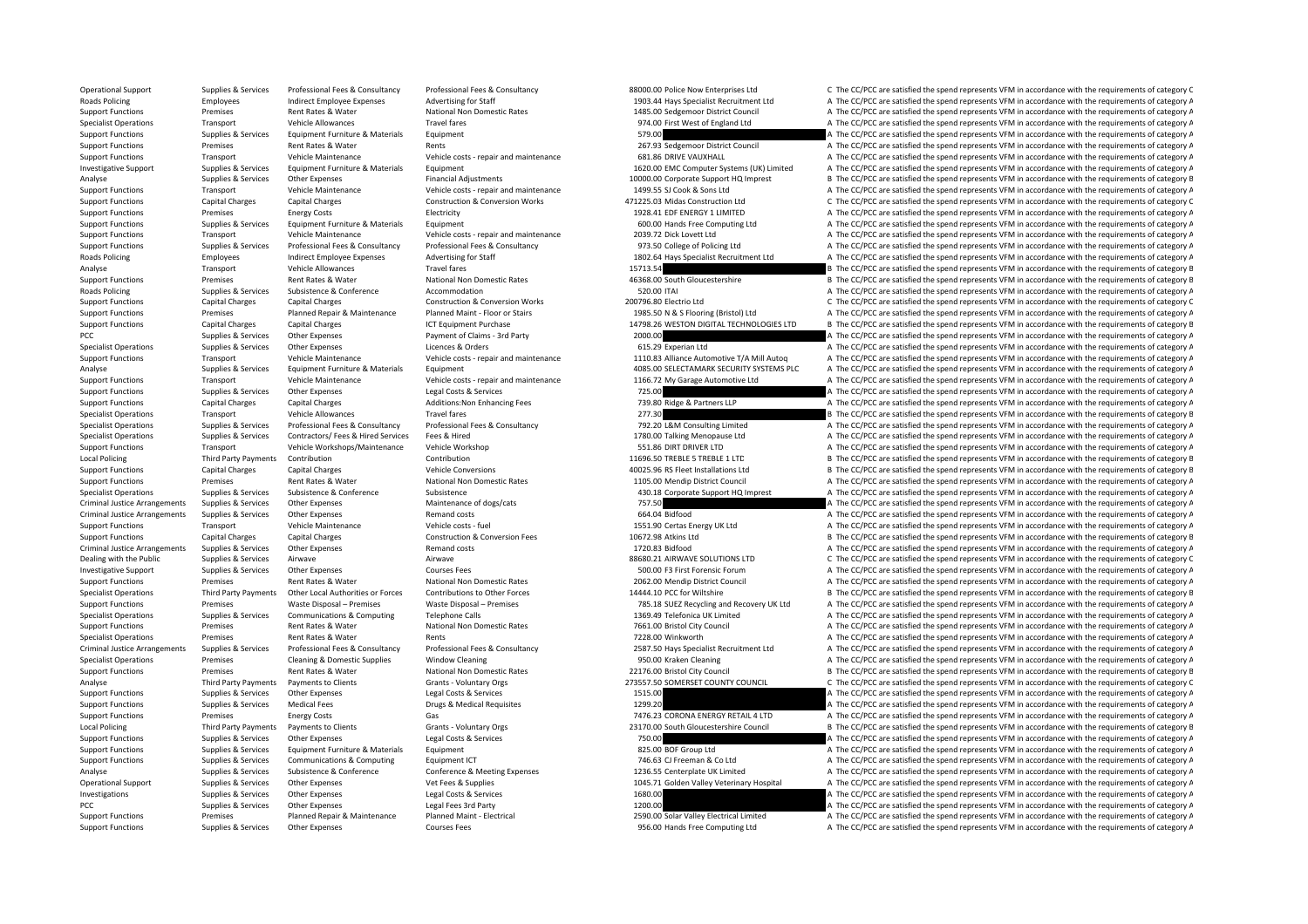Support Functions Premises Planned Repair & Maintenance Planned Maint - Electrical 2590.00 Solar Valley Electrical Limited A The CC/PCC are satisfied the spend represents VFM in accordance with the requirements of category

PCC The CC/PCC are satisfied the spend represents VFM in accordance with the requirements of category A Legal Fees 3rd Party 1200.00 A The CC/PCC are satisfied the spend represents VFM in accordance with the requirements o

Support Functions Supplies & Services Other Expenses Courses Fees Courses Fees Services Fees Proputing Ltd A The CC/PCC are satisfied the spend represents VFM in accordance with the requirements of category A

Operational Support Supplies & Services Professional Fees & Consultancy Professional Fees & Consultancy Professional Fees & Consultancy Professional Fees & Consultancy Professional Fees & Consultancy Professional Fees & Co Roads Policing Employees Indirect Employee Expenses Advertising for Staff 1903.44 Hays Specialist Recruitment Ltd A The CC/PCC are satisfied the spend represents VFM in accordance with the requirements of category A Support Functions Premises Rent Rates & Water National Non Domestic Rates 1485.00 Sedgemoor District Council A The CC/PCC are satisfied the spend represents VFM in accordance with the requirements of category A The Council Travel fares Transport Operations Travel fares Transport Vehicle Allowances Travel fares Travel fares Travel fares A The CC/PCC are satisfied the spend represents VFM in accordance with the requirements of category A Support Functions Supplies & Services Equipment Functions Equipment Functions Equipment 579.00 A The CC/PCC are satisfied the spend represents VFM in accordance with the requirements of category A Support Functions Premises Rent Rates & Water Rents Rents Rents Rent Rent Rents 267.93 Sedgemoor District Council A The CC/PCC are satisfied the spend represents VFM in accordance with the requirements of category A Support Functions Transport Vehicle Maintenance Vehicle costs ‐ repair and maintenance 681.86 DRIVE VAUXHALL A The CC/PCC are satisfied the spend represents VFM in accordance with the requirements of category A Investigative Support Supplies & Services Equipment Furniture & Materials Equipment Equipment Equipment Equipment Equipment Equipment Equipment Equipment and the material A The CC/PCC are satisfied the spend represents VFM Analyse Supplies & Services Other Expenses Financial Adjustments Financial Adjustments 10000.00 Corporate Support HQ Imprest B The CC/PCC are satisfied the spend represents VFM in accordance with the requirements of catego Support Functions Transport Vehicle Maintenance Vehicle costs ‐ repair and maintenance 1499.55 SJ Cook & Sons Ltd A The CC/PCC are satisfied the spend represents VFM in accordance with the requirements of category A Support Functions Capital Charges Capital Charges Capital Charges Construction & Conversion Works 471225.03 Midas Construction Ltd C The CC/PCC are satisfied the spend represents VFM in accordance with the requirements of Support Functions Premises Energy Costs Electricity Electricity and the energy Costs Electricity Electricity 1928.41 EDF ENERGY 1 LIMITED A The CC/PCC are satisfied the spend represents VFM in accordance with the requireme Support Functions Supplies & Services Equipment Furniture & Materials Equipment Equipment Equipment Equipment<br>Support Functions Support Transport Menicle Maintenance Vehicle costs repair and maintenance variance and a The Support Functions Transport Transport Vehicle Maintenance 2030.<br>The CC/PCC are satisfied the spend represents VFM in accordance with the requirements of category A Supplies & Services Professional Fees & Consultancy Professional Fees & Consultancy Professional Fees & Consultancy Professional Fees & Consultancy Professional Fees & Consultancy Professional Fees & Consultancy 973.50 Col Roads Policing Employees andirect Employee Expenses Advertising for Staff 1802.64 Hays Specialist Recruitment Ltd A The CC/PCC are satisfied the spend represents VFM in accordance with the requirements of category Public A B The CC/PCC are satisfied the spend represents VFM in accordance with the requirements of category E Support Functions Premises Rent Rates & Water National Non Domestic Rates 46368.00 South Gloucestershire B The CC/PCC are satisfied the spend represents VFM in accordance with the requirements of category B Roads Policing Supplies & Services Subsistence & Conference Accommodation Accommodation 520.00 ITAI A The CC/PCC are satisfied the spend represents VFM in accordance with the requirements of category A Support Functions Capital Charges Capital Charges Construction & Conversion Works 200796.80 Electrio Ltd C The CC/PCC are satisfied the spend represents VFM in accordance with the requirements of category C Support Functions Premises Premises Planned Repair & Maintenance Planned Maint-Floor or Stairs 1985.50 N & S Flooring (Bristol) Ltd A The CC/PCC are satisfied the spend represents VFM in accordance with the requirements of Support Functions Capital Charges Capital Charges ICT Equipment Purchase 14798.26 WESTON DIGITAL TECHNOLOGIES LTD B The CC/PCC are satisfied the spend represents VFM in accordance with the requirements of category B PCC PCC are satisfied the spend represents VFM in accordance with the requirements of category A The CC/PCC are satisfied the spend represents VFM in accordance with the requirements of category A Specialist Operations Supplies & Services Other Expenses Licences & Orders Licences & Orders 616.29 Experian Ltd A The CC/PCC are satisfied the spend represents VFM in accordance with the requirements of category A Support Functions Transport Vehicle Maintenance Vehicle costs - repair and maintenance Vehicle costs - repair and maintenance Vehicle costs - repair and maintenance 1110.83 Alliance Automotive T/A Mill Autog A The CC/PCC a Analyse Supplies & Services Equipment Furniture & Materials Equipment Equipment and maintenance and the service of the Security Systems PLC A The CC/PCC are satisfied the spend represents VFM in accordance with the require Support Vehicle Maintenance Vehicle costs repair and maintenance 1166.72 My Garage Automotive Ltd A The CC/PCC are satisfied the spend represents VFM in accordance with the requirements of category A Support Functions Supplies & Services Other Expenses Legal Costs & Services Pupper Costs 725.00 A The CC/PCC are satisfied the spend represents VFM in accordance with the requirements of category A Support Functions Capital Charges Capital Charges Additions:Non Enhancing Fees 739.80 Ridge & Partners LLP A The CC/PCC are satisfied the spend represents VFM in accordance with the requirements of category A Specialist Operations Transport Vehicle Allowances Travel fares 277 and the spending of category B The CC/PCC are satisfied the spend represents VFM in accordance with the requirements of category B Specialist Operations Supplies & Services Professional Fees & Consultancy Professional Fees & Consultancy Professional Fees & Consultancy Professional Fees & Consultancy Professional Fees & Consultancy Professional Fees & Specialist Operations Supplies & Services Contractors/ Fees & Hired Services Fees & Hired 1780.00 Talking Menopause Ltd A The CC/PCC are satisfied the spend represents VFM in accordance with the requirements of category A Support Functions Transport Vehicle Workshops/Maintenance Vehicle Workshop 551.86 DIRT DRIVER LTD A The CC/PCC are satisfied the spend represents VFM in accordance with the requirements of category A Local Policing Third Party Payments Contribution Contribution Contribution Contribution Contribution Contribution Contribution Contribution Contribution and Dubber 2016 11696.50 TREBLE 1 LTD B The CC/PCC are satisfied the Support Functions Capital Charges Capital Charges Vehicle Conversions Vehicle Conversions 40025.96 RS Fleet Installations Ltd B The CC/PCC are satisfied the spend represents VFM in accordance with the requirements of categ Support Functions Premises Rent Rates & Water National Non Domestic Rates 1105.00 Mendip District Council A The CC/PCC are satisfied the spend represents VFM in accordance with the requirements of category A Specialist Operations Supplies & Services Subsistence Subsistence Subsistence Subsistence Subsistence and the Support HQ Imprest A The CC/PCC are satisfied the spend represents VFM in accordance with the requirements of ca Criminal Justice Arrangements Supplies & Services Other Expenses Maintenance of dogs/cats Maintenance of dogs/cats 757.50 A The CC/PCC are satisfied the spend represents VFM in accordance with the requirements of category Criminal Justice Arrangements Supplies & Services Other Expenses Remand costs Remand costs Remand costs 664.04 Bidfood A The CC/PCC are satisfied the spend represents VFM in accordance with the requirements of category A Support Functions Transport Vehicle Maintenance Vehicle costs - fuel 1551.90 Certas Energy UK Itd A The CC/PCC are satisfied the spend represents VFM in accordance with the requirements of category A Support Functions Capital Charges Capital Charges Construction & Conversion Fees 10672.98 Atkins Ltd B The CC/PCC are satisfied the spend represents VFM in accordance with the requirements of category E Criminal Justice Arrangements Supplies & Services Other Expenses Remand costs Remand costs Remand costs 1720.83 Bidfood A The CC/PCC are satisfied the spend represents VFM in accordance with the requirements of category A Dealing with the Public Supplies & Services Airwave Airwave Airwave Airwave Airwave Airwave Airwave Airwave Airwave Airwave Airwave Airwave Airwave Airwave Airwave Airwave Airwave Airwave Airwave Airwave Airwave Airwave Ai Investigative Support Supplies & Services Other Expenses Courses Fees Courses Fees 500.00 F3 First Forensic Forum A The CC/PCC are satisfied the spend represents VFM in accordance with the requirements of category A Support Functions Premises Rent Rates & Water National Non Domestic Rates 2062.00 Mendip District Council A The CC/PCC are satisfied the spend represents VFM in accordance with the requirements of category A Specialist Operations Third Party Payments Other Local Authorities or Forces Contributions to Other Forces 1444.10 PCC for Wiltshire B The CC/PCC are satisfied the spend represents VFM in accordance with the requirements o Support Functions Premises Waste Disposal – Premises Waste Disposal – Premises 785.18 SUEZ Recycling and Recovery UK Ltd A The CC/PCC are satisfied the spend represents VFM in accordance with the requirements of category A Specialist Operations Supplies & Services Communications & Computing Telephone Calls 1369.49 Telefonica UK Limited A The CC/PCC are satisfied the spend represents VFM in accordance with the requirements of category A Support Functions Premises Rent Rates & Water Mational Non Domestic Rates 7661.00 Bristol City Council A The CC/PCC are satisfied the spend represents VFM in accordance with the requirements of category A The CC/PC are sat Specialist Operations Premises Rent Rates & Water Rents Rents Rents Rents 7228.00 Winkworth A The CC/PCC are satisfied the spend represents VFM in accordance with the requirements of category A Criminal Justice Arrangements Supplies & Services Professional Fees & Consultancy Professional Fees & Consultancy Professional Fees & Consultancy Professional Fees & Consultancy Professional Fees & Consultancy Professional Specialist Operations Premises Cleaning & Domestic Supplies Window Cleaning Window Cleaning 950.00 Kraken Cleaning A The CC/PCC are satisfied the spend represents VFM in accordance with the requirements of category A Support Functions Premises Rent Rates & Water National Non Domestic Rates 22176.00 Bristol City Council B The CC/PCC are satisfied the spend represents VFM in accordance with the requirements of category E Analyse Third Party Payments hexty Payments to Clients Grants - Voluntary Orgs 273557.50 SOMERSET COUNTY COUNCIL C The CC/PCC are satisfied the spend represents VFM in accordance with the requirements of category C Support Functions Supplies & Services Other Expenses Legal Costs & Services Legal Costs & Services A The CO/PCC are satisfied the spend represents VFM in accordance with the requirements of category A Support Functions Supplies & Services Medical Fees Drugs & Medical Requisites Drugs & Medical Requisites 1299.20 A The CC/PCC are satisfied the spend represents VFM in accordance with the requirements of category A Support Functions Premises Energy Costs Gas Gas Function Cases and Manual 2023 CORONA ENERGY RETAIL 4 LTD A The CC/PCC are satisfied the spend represents VFM in accordance with the requirements of category A Local Policing Third Party Payments to Clients Clients Grants - Voluntary Orgs 23170.00 South Gloucestershire Council B The CC/PCC are satisfied the spend represents VFM in accordance with the requirements of category B Support Functions Supplies & Services Other Expenses Legal Costs & Services Publications and The CC/PCC are satisfied the spend represents VFM in accordance with the requirements of category A Supplies & Services Equipment A The CC/PCC are satisfied the spend represents VFM in accordance with the requirements of category A Support Functions Supplies & Services Communications & Computing Equipment ICT 746.63 CJ Freeman & Co Ltd A The CC/PCC are satisfied the spend represents VFM in accordance with the requirements of category A Analyse Supplies & Services Subsistence & Conference Conference Conference & Meeting Expenses 1236.55 Centerplate UK Limited A The CC/PCC are satisfied the spend represents VFM in accordance with the requirements of catego A The CC/PCC are satisfied the spend represents VFM in accordance with the requirements of category A Investigations Supplies & Services Other Expenses Legal Costs & Services Legal Costs & Services A The CO/PCC are satisfied the spend represents VFM in accordance with the requirements of category A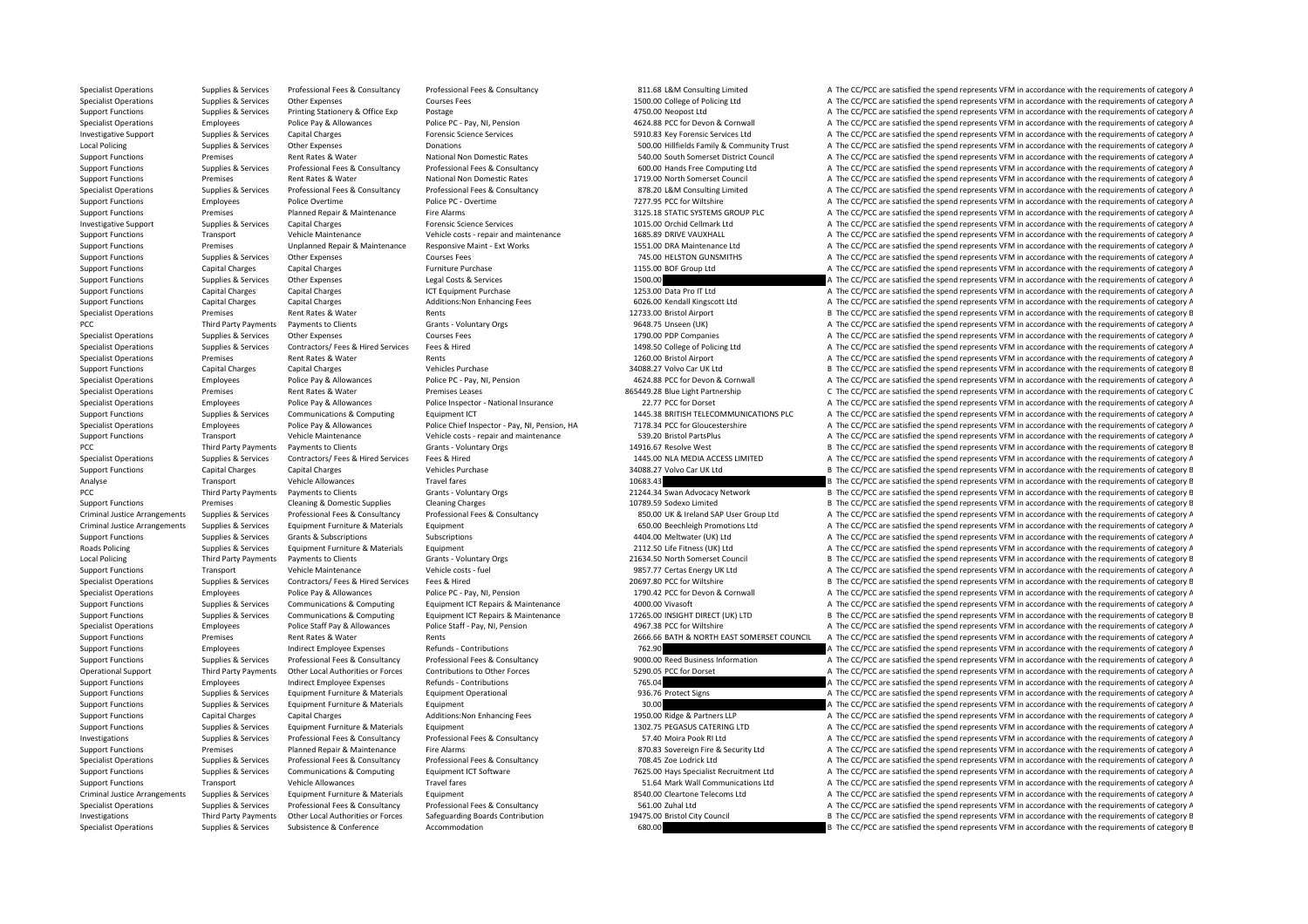Specialist Operations Supplies & Services Professional Fees & Consultancy Professional Fees & Consultancy Professional Fees & Consultancy Professional Fees & Consultancy Professional Fees & Consultancy Professional Fees & Specialist Operations Supplies & Services Other Expenses Courses Fees Courses Fees 1500.00 College of Policing Ltd A The CC/PCC are satisfied the spend represents VFM in accordance with the requirements of category A Support Functions Supplies & Services Printing Stationery & Office Exp Postage Postage Printing Stationery & Office Exp Postage Postage Printing Stategory A The CC/PCC are satisfied the spend represents VFM in accordance w Specialist Operations Police Pay and The Spend for Devon to Allowance Police Providence With the requirements of category A The CC/PCC are satisfied the spend represents VFM in accordance with the requirements of category Investigative Support Supplies & Services Capital Charges Forensic Science Services 5910.83 Key Forensic Services Support A The CC/PCC are satisfied the spend represents VFM in accordance with the requirements of category Local Policing Supplies & Services Other Expenses Donations Donations Donations Supplieds Family & Community Trust A The CC/PCC are satisfied the spend represents VFM in accordance with the requirements of category A Support Functions Premises Rent Rates & Water National Non Domestic Rates 540.00 South Somerset District Council A The CC/PCC are satisfied the spend represents VFM in accordance with the requirements of category A Supplies & Services Professional Fees & Consultancy Professional Fees & Consultancy Professional Fees & Consultancy Professional Fees & Consultancy Professional Fees & Consultancy Professional Fees & Consultancy Profession Support Functions Premises Rent Rates & Water National Non Domestic Rates 1719.00 North Somerset Council A The CC/PCC are satisfied the spend represents VFM in accordance with the requirements of category A Specialist Operations Supplies & Services Professional Fees & Consultancy Professional Fees & Consultancy Professional Fees & Consultancy Professional Fees & Consultancy Professional Fees & Consultancy Professional Fees & Support Functions Employees Police Overtime Police PC - Overtime Police POVERTIME POLICE POLICE POLICE POLICE POLICE POLICE POLICE POLICE POLICE POLICE POLICE POLICE POLICE POLICE POLICE POLICE POLICE A The CC/PCC are sati Support Functions Premises Planned Repair & Maintenance Fire Alarms 3125.18 STATIC SYSTEMS GROUP PLC A The CC/PCC are satisfied the spend represents VFM in accordance with the requirements of category A Investigative Support Supplies & Services Capital Charges Forensic Science Services Forensic Science Services Forensic Science Services 1015.00 Orchid Cellmark Ltd A The CC/PCC are satisfied the spend represents VFM in acc Support Functions Transport Transport Vehicle Maintenance (Vehicle Maintenance 1685.85 DRIVE VALUAT) A The CC/PCC are satisfied the spend represents VFM in accordance with the requirements of category A Support Functions Premises Unplanned Repair & Maintenance Responsive Maint - Ext Works 1551.00 DRA Maintenance Ltd A The CC/PCC are satisfied the spend represents VFM in accordance with the requirements of category A Support Functions Supplies & Services Other Expenses Courses Fees Courses Fees Text The COURS TRESTON GUNSMITHS A The CC/PCC are satisfied the spend represents VFM in accordance with the requirements of category A The COUR A The CC/PCC are satisfied the spend represents VFM in accordance with the requirements of category A Support Functions Supplies & Services Other Expenses Legal Costs & Services Legal Costs & Services A The CODO Case and The CC/PCC are satisfied the spend represents VFM in accordance with the requirements of category A Support Functions Capital Charges Capital Charges Capital Charges ICT Equipment Purchase ICT Equipment Purchase 1253.00 Data Pro IT Ltd A The CC/PCC are satisfied the spend represents VFM in accordance with the requirement Support Functions Capital Charges Capital Charges Additions:Non Enhancing Fees 6026.00 Kendall Kingscott Ltd A The CC/PCC are satisfied the spend represents VFM in accordance with the requirements of category A Specialist Operations Premises Premises Rent Rates & Water Rents Rents Rents Rents Rents Rents Rents Rents 12733.00 Bristol Airport B The CC/PCC are satisfied the spend represents VFM in accordance with the requirements of PCC Third Party Payments to Clients Grants - Voluntary Orgs 9648.75 Unseen (UK) A The CC/PCC are satisfied the spend represents VFM in accordance with the requirements of category A Specialist Operations Supplies & Services Other Expenses Courses Fees Courses Fees 1790.00 PDP Companies A The CC/PCC are satisfied the spend represents VFM in accordance with the requirements of category A Specialist Operations Supplies & Services Contractors/ Fees & Hired Services Fees & Hired 1498.50 College of Policing Ltd A The CC/PCC are satisfied the spend represents VFM in accordance with the requirements of category Specialist Operations Premises Rent Rates & Water Rents Rents Rents and Rents 1260.00 Bristol Airport A The CC/PCC are satisfied the spend represents VFM in accordance with the requirements of category A Support Functions Capital Charges Capital Charges Capital Charges Support Support October 2012 Vehicles Purchase Vehicles Purchase Vehicles Purchase 34088.27 Volvo Car UK Ltd B The CC/PCC are satisfied the spend represents Specialist Operations Employees Police Pay & Allowances Police PC • Pay NI, Pension 4624.88 PC for Devon & Cornwall A The CC/PCC are satisfied the spend represents VFM in accordance with the requirements of category A The Specialist Operations Premises Premises Rent Rates & Water Premises Leases Premises Leases 865449.28 Blue Light Partnership C The CC/PCC are satisfied the spend represents VFM in accordance with the requirements of categor Specialist Operations Employees Police Pay & Allowances Police Inspector - National Insurance 22.77 PCC for Dorset A The CC/PCC are satisfied the spend represents VFM in accordance with the requirements of category A Support Functions Supplies & Services Communications & Computing Foutbrance Computing Foutbrance in CT 1445.38 BRITISH TELECOMMUNICATIONS PLC A The CC/PCC are satisfied the spend represents VFM in accordance with the requi Specialist Operations Employees Police Pay & Allowances Police Chief Inspector - Pay, NI, Pension, HA 7178.34 PCC for Gloucestershire A The CC/PCC are satisfied the spend represents VFM in accordance with the requirements Support Functions Transport Vehicle Maintenance Vehicle costs ‐ repair and maintenance 539.20 Bristol PartsPlus A The CC/PCC are satisfied the spend represents VFM in accordance with the requirements of category A PCC Third Party Payments to Clients Grants - Voluntary Orgs 14916.67 Resolve West B The CC/PCC are satisfied the spend represents VFM in accordance with the requirements of category B Specialist Operations Supplies & Services Contractors/ Fees & Hired Services Fees & Hired 1445.00 NLA MEDIA ACCESS LIMITED A The CC/PCC are satisfied the spend represents VFM in accordance with the requirements of category Support Functions Capital Charges Capital Charges Support of the Support of Charges Vehicles Purchase 34088.27 Volvo Car UK Itd B The CC/PCC are satisfied the spend represents VFM in accordance with the requirements of cat Analyse Transport Vehicle Allowances Travel fares Travel fares 10683.43 B The CC/PCC are satisfied the spend represents VFM in accordance with the requirements of category E<br>PCC Third Party Parments to Clients Satisfied th PCC Third Party Payments **Payments** to Clients Grants - Voluntary Orgs 21244.34 Swan Advocacy Network B The CC/PCC are satisfied the spend represents VFM in accordance with the requirements of category E Support Functions Premises Cleaning & Domestic Supplies Cleaning Charges Cleaning Charges 10789.59 Sodexo Limited B The CC/PCC are satisfied the spend represents VFM in accordance with the requirements of category E Criminal Justice Arrangements Supplies & Services Professional Fees & Consultancy Professional Fees & Consultancy Professional Fees & Consultancy Professional Fees & Consultancy Professional Fees & Consultancy Professional Criminal Justice Arrangements Supplies & Services Equipment Furniture & Materials Equipment Euripment Equipment Euripment Equipment Equipment Euripment Criminal Dustice A The CC/PCC are satisfied the spend represents VFM i Support Functions Supplies & Services Grants & Subscriptions Subscriptions Subscriptions Support A The CC/PCC are satisfied the spend represents VFM in accordance with the requirements of category A Roads Policing Supplies & Services Equipment Furniture & Materials Equipment 2112.50 Life Fitness (UK) Ltd A The CC/PCC are satisfied the spend represents VFM in accordance with the requirements of category A Local Policing Third Party Payments Payments to Clients Grants - Voluntary Orgs 21634.50 North Somerset Council B The CC/PCC are satisfied the spend represents VFM in accordance with the requirements of category B Support Functions Transport Vehicle Maintenance Vehicle costs ‐ fuel 9857.77 Certas Energy UK Ltd A The CC/PCC are satisfied the spend represents VFM in accordance with the requirements of category A Specialist Operations Supplies & Services Contractors/ Fees & Hired Services Fees & Hired 20697.80 PCC for Wiltshire B The CC/PCC are satisfied the spend represents VFM in accordance with the requirements of category B Specialist Operations Employees Police Pay & Allowances Police PC - Pay, NI, Pension 1790.42 PCC for Devon & Cornwall A The CC/PCC are satisfied the spend represents VFM in accordance with the requirements of category A Support Functions Supplies & Services Communications & Computing Equipment ICT Repairs & Maintenance 4000.00 Vivasoft A The CC/PCC are satisfied the spend represents VFM in accordance with the requirements of category A Supplies & Services Communications & Computing Equipment ICT Repairs & Maintenance 17265.00 INSIGHT DIRECT (UK) LTD B The CC/PCC are satisfied the spend represents VFM in accordance with the requirements of category E Specialist Operations Employees Police Staff Pay & Allowances Police Staff - Pay, NI, Pension 4967.38 PCC for Wiltshire A The CC/PCC are satisfied the spend represents VFM in accordance with the requirements of category A Support Functions Premises Rent Rates & Water Rents Rents Rents Rent Rents 2666.66 BATH & NORTH EAST SOMERSET COUNCIL A The CC/PCC are satisfied the spend represents VFM in accordance with the requirements of category A Support Functions Employees Indirect Employee Expenses Refunds - Contributions 762.90 762.90 A The CC/PCC are satisfied the spend represents VFM in accordance with the requirements of category A Supplies & Services Professional Fees & Consultancy Professional Fees & Consultancy Professional Fees & Consultancy Professional Fees & Consultancy Professional Fees & Consultancy Professional Fees & Consultancy 9000.00 Re Operational Support Third Party Payments Other Local Authorities or Forces Contributions to Other Forces S290.05 PCC for Dorset A The CC/PCC are satisfied the spend represents VFM in accordance with the requirements of cat Support Functions Employees Indirect Employee Expenses Refunds - Contributions 765.04 765.04 A The CC/PCC are satisfied the spend represents VFM in accordance with the requirements of category A Support Functions Support A Support Functions Supplies & Services Equipment Furniture & Materials Equipment Operational examples a state of the Service A The CC/PCC are satisfied the spend represents VFM in accordance with the requirements of categor Support Functions Supplies & Services Equipment Furniture & Materials Equipment Support Equipment and Materials Equipment and A The CC/PCC are satisfied the spend represents VFM in accordance with the requirements of categ Support Functions Capital Charges Capital Charges Additions:Non Enhancing Fees 1950.00 Ridge & Partners LLP A The CC/PCC are satisfied the spend represents VFM in accordance with the requirements of category A Support Functions Supplies & Services Faujoment Furniture & Materials Faujoment 1302.75 PEGASUS CATERING LTD A The CC/PCC are satisfied the spend represents VFM in accordance with the requirements of category A Investigations Supplies & Services Professional Fees & Consultancy Professional Fees & Consultancy Consultancy<br>
Support Functions and the spend represents VFM in accordance with the requirements of category A The CL/PCC ar Fire Alarms **Example 2000** Support Fire Alarms 870.83 Sovereign Fire & Security Ltd A The CC/PCC are satisfied the spend represents VFM in accordance with the requirements of category A Specialist Operations Supplies & Services Professional Fees & Consultancy Professional Fees & Consultancy Professional Fees & Consultancy Professional Fees & Consultancy Professional Fees & Consultancy Professional Fees & Support Functions Supplies & Services Communications & Computing Equipment ICT Software Equipment CT Software<br>
Support Functions Transport Transport Menicle Allowances Travel fares Travel fares Travel fares Transport Prove A The CC/PCC are satisfied the spend represents VFM in accordance with the requirements of category A Criminal Justice Arrangements Supplies & Services Equipment Furniture & Materials Equipment expand Equipment and Equipment and A The CC/PCC are satisfied the spend represents VFM in accordance with the requirements of cate Specialist Operations Supplies & Services Professional Fees & Consultancy Professional Fees & Consultancy Professional Fees & Consultancy Professional Fees & Consultancy Professional Fees & Consultancy Services Services an Third Party Payments Other Local Authorities or Forces Safeguarding Boards Contribution 19475.00 Bristol City Council B The CC/PCC are satisfied the spend represents VFM in accordance with the requirements of category E Specialist Operations Supplies & Services Subsistence & Conference Accommodation Accommodation Accommodation 680.00 B The CC/PCC are satisfied the spend represents VFM in accordance with the requirements of category E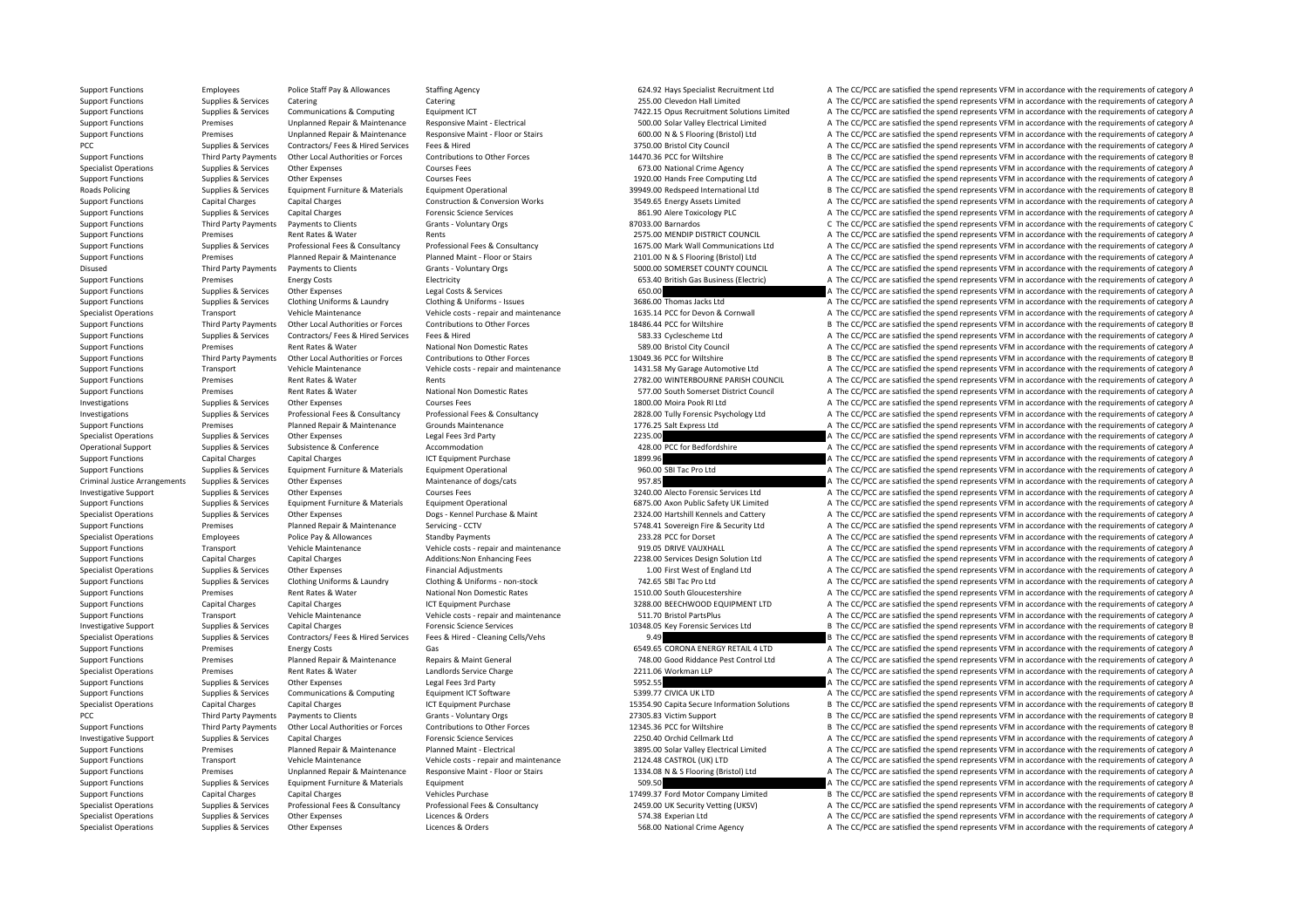Support Functions Employees Police Staff Pay & Allowances Staffing Agency 624.92 Hays Specialist Recruitment Ltd A The CC/PCC are satisfied the spend represents VFM in accordance with the requirements of category A Support Functions Supplies & Services Catering Catering Catering Catering Catering Catering Catering Catering Catering Catering Catering 255.00 Clevedon Hall Limited A The CC/PCC are satisfied the spend represents VFM in a Support Functions Supplies & Services Communications & Computing Equipment ICT Equipment ICT 7422.15 Opus Recruitment Solutions Limited A The CC/PCC are satisfied the spend represents VFM in accordance with the requirement A The CC/PCC are satisfied the spend represents VFM in accordance with the requirements of category A Support Functions Premises Unplanned Repair & Maintenance Responsive Maint - Floor or Stairs 600.00 N & S Flooring (Bristol) I td A The CC/PCC are satisfied the spend represents VEM in accordance with the requirements of c PCC Supplies & Services Contractors/ Fees & Hired Services Fees & Hired Services Fees & Hired 3750.00 Bristol City Council A The CC/PCC are satisfied the spend represents VFM in accordance with the requirements of category Support Functions Third Party Payments Other Local Authorities or Forces Contributions to Other Forces 14470.36 PCC for Wiltshire B The CC/PCC are satisfied the spend represents VFM in accordance with the requirements of c Specialist Operations Supplies & Services Other Expenses Courses Fees Courses Fees 673.00 National Crime Agency A The CC/PCC are satisfied the spend represents VFM in accordance with the requirements of category A Support Functions Supplies & Services Other Expenses Courses Fees Courses Fees 1920.00 Hands Free Computing Ltd A The CC/PCC are satisfied the spend represents VFM in accordance with the requirements of category A Roads Policing Supplies & Services Equipment Furniture & Materials Equipment Operational Equipment Operational Equipment Operational excepts and the Supplies & Services Equipment Equipment Supplies & Services Equipment Equ Support Functions Capital Charges Capital Charges Capital Charges Capital Charges Construction & Conversion Works 3549.65 Energy Assets Limited A The CC/PCC are satisfied the spend represents VFM in accordance with the req Support Functions Supplies & Services Capital Charges Forensic Science Services Forensic Science Services 861.90 Alere Toxicology PLC A The CC/PCC are satisfied the spend represents VFM in accordance with the requirements Support Functions Third Party Payments of Clients Grants - Voluntary Orgs STO33.00 Barnardos C The CC/PCC are satisfied the spend represents VFM in accordance with the requirements of category C Support Functions Premises Support Functions Premises Rental Rates and Rents 250 Mending 25 The CC/PCC are satisfied the spend represents VFM in accordance with the requirements of category A Supplies & Services Professional Fees & Consultancy Professional Fees & Consultancy Professional Fees & Consultancy Professional Fees & Consultancy Professional Fees & Consultancy Professional Fees & Consultancy Profession Support Functions Premises Premises Planned Repair & Maintenance Planned Maint - Floor or Stairs 2010.00 N& S Flooring (Bristol) Ltd A The CC/PCC are satisfied the spend represents VFM in accordance with the requirements o A The CC/PCC are satisfied the spend represents VFM in accordance with the requirements of category A Support Functions Premises Energy Costs Electricity Electricity Electricity Electricity and the Same COS A The CC/PCC are satisfied the spend represents VFM in accordance with the requirements of category A Support Functions Supplies & Services Other Expenses Legal Costs & Services A The CODO Case and The CC/PCC are satisfied the spend represents VFM in accordance with the requirements of category A Support Functions Supplies & Services Clothing Uniforms & Laundry Clothing & Uniforms - Issues 3686.00 Thomas Jacks Ltd A The CC/PCC are satisfied the spend represents VFM in accordance with the requirements of category A Specialist Operations Transport Transport Wehicle Maintenance Vehicle costs - repair and maintenance vehicle costs and maintenance vehicle costs and maintenance and the Spanish and the CC/PCC are satisfied the spend repres Support Functions Third Party Payments Other Local Authorities or Forces Contributions to Other Forces 18486.44 PCC for Wiltshire B. The CC/PCC are satisfied the spend represents VFM in accordance with the requirements of Support Functions Supplies & Services Contractors/ Fees & Hired Services Fees & Hired Services Fees & Hired 583.33 Cyclescheme Ltd A The CC/PCC are satisfied the spend represents VFM in accordance with the requirements of Support Functions Premises Rent Rates & Water National Non Domestic Rates Same Same Same Same Same City Council A The CC/PCC are satisfied the spend represents VFM in accordance with the requirements of category A Support Functions Third Party Payments Other Local Authorities or Forces Contributions to Other Forces 13049.36 PCC for Wiltshire B. The CC/PCC are satisfied the spend represents VFM in accordance with the requirements of Support Functions Transport Vehicle Maintenance Vehicle costs ‐ repair and maintenance 1431.58 My Garage Automotive Ltd A The CC/PCC are satisfied the spend represents VFM in accordance with the requirements of category A Support Functions Current Rent Rates Rent Rates Rent Rents Rents Rents Rents Council a The CC/PCC are satisfied the spend represents VFM in accordance with the requirements of category A Support Functions Premises Rent Rates & Water National Non Domestic Rates 577.00 South Somerset District Council A The CC/PCC are satisfied the spend represents VFM in accordance with the requirements of category A Investigations Supplies & Services Other Expenses Courses Fees Courses Fees 1800.00 Moira Pook RI Ltd A The CC/PCC are satisfied the spend represents VFM in accordance with the requirements of category A Sunning & Sanviros Professional Eage & Consultancy Professional Eage & Consultancy Professional Eage & Consultancy 2828 (0.11 Enconsic Providence Professional Edge & Consultancy 2828 (0.11 Enconsic Providence Professional Support Functions Premises Planned Repair & Maintenance Grounds Maintenance Counds Maintenance 1776.25 Salt Express Ltd A The CC/PCC are satisfied the spend represents VFM in accordance with the requirements of category A Specialist Operations Supplies & Services Other Expenses Legal Fees 3rd Party 2235.00 235.00 A The CC/PCC are satisfied the spend represents VFM in accordance with the requirements of category A Operational Support Supplies & Services Subsistence & Conference Accommodation A The CORC for Bedfordshire A The CC/PCC are satisfied the spend represents VFM in accordance with the requirements of category A Support Functions Capital Charges Capital Charges ICT Equipment Purchase ICT A The CC/PCC are satisfied the spend represents VFM in accordance with the requirements of category A Support Functions Supplies & Services Equipment Furniture & Materials Equipment Operational exacts Equipment Operational 960.00 SBI Tac Pro Ltd A The CC/PCC are satisfied the spend represents VFM in accordance with the req Criminal Justice Arrangements Supplies & Services Other Expenses Maintenance of dogs/cats Maintenance of dogs/cats 957.85 A The CC/PCC are satisfied the spend represents VFM in accordance with the requirements of category Investigative Support Supplies & Services Other Expenses Courses Fees Courses Fees 3240.00 Alecto Forensic Services Ltd A The CC/PCC are satisfied the spend represents VFM in accordance with the requirements of category A Supplies & Services Equipment Furniture & Materials Equipment Operational Equipment Operational Equipment Operational 6875.00 Axon Public Safety UK Limited A The CC/PCC are satisfied the spend represents VFM in accordance Specialist Operations Supplies & Services Other Expenses Dogs-Kennel Purchase & Maint 2324.00 Hartshill Kennels and Cattery A The CC/PCC are satisfied the spend represents VFM in accordance with the requirements of categor Support Functions Premises Planned Repair & Maintenance Servicing • CCTV 5748.41 Sovereign Fire & Security Ltd A The CC/PCC are satisfied the spend represents VFM in accordance with the requirements of category A Specialist Operations Employees Police Pay & Allowances Standby Payments Standby Payments 233.28 PCC for Dorset A The CC/PCC are satisfied the spend represents VFM in accordance with the requirements of category A Support Functions Transport Vehicle Maintenance Vehicle costs ‐ repair and maintenance 919.05 DRIVE VAUXHALL A The CC/PCC are satisfied the spend represents VFM in accordance with the requirements of category A Support Functions Capital Charges Capital Charges Additions:Non Enhancing Fees 2238.00 Services Design Solution Ltd A The CC/PCC are satisfied the spend represents VFM in accordance with the requirements of category A Specialist Operations Supplies & Services Other Expenses Financial Adjustments Financial Adjustments 1.00 First West of England Ltd A The CC/PCC are satisfied the spend represents VFM in accordance with the requirements of Support Functions Supplies & Services Clothing Uniforms & Laundry Clothing & Uniforms - non-stock 742.65 SBI Tac Pro Ltd A The CC/PCC are satisfied the spend represents VFM in accordance with the requirements of category A Support Functions Premises Rent Rates & Water National Non Domestic Rates 1510.00 South Gloucestershire A The CC/PCC are satisfied the spend represents VFM in accordance with the requirements of category A Support Functions Capital Charges Capital Charges Capital Charges ICT Equipment Purchase ICT Equipment Purchase 3288.00 BEECHWOOD EQUIPMENT LTD A The CC/PCC are satisfied the spend represents VFM in accordance with the req Support Functions Transport Vehicle Maintenance Vehicle costs ‐ repair and maintenance 511.70 Bristol PartsPlus A The CC/PCC are satisfied the spend represents VFM in accordance with the requirements of category A The Crea Investigative Support Supplies & Services Capital Charges Forensic Science Services Forensic Science Services 10348.05 Key Forensic Services Ltd B The CC/PCC are satisfied the spend represents VFM in accordance with the re Specialist Operations Supplies The CC/PCC are satisfied the spend represents VFM in accordance with the requirements of category B Support Functions Premises Energy Costs Gas Gas Function Cases CORONA ENERGY RETAIL 4 LTD A The CC/PCC are satisfied the spend represents VFM in accordance with the requirements of category A Support Functions Premises Planned Repair & Maintenance Repairs & Maint General 748.00 Good Riddance Pest Control Ltd A The CC/PCC are satisfied the spend represents VFM in accordance with the requirements of category A Specialist Operations Premises Rent Rates & Water Landlords Service Charge 2211.06 Workman LLP A The CC/PCC are satisfied the spend represents VFM in accordance with the requirements of category A Support Functions Supplies & Services Other Expenses Legal Fees 3rd Party and the Services Communications & Communications & Communications & Communications & Communications & Communications A Communications and Functions Support Functions Supplies & Services Communications & Computing Equipment ICT Software 5399.77 CIVICA UK LTD A The CC/PCC are satisfied the spend represents VFM in accordance with the requirements of category A Specialist Operations Capital Charges Capital Charges ICT Equipment Purchase 15354.90 Capita Secure Information Solutions B The CC/PCC are satisfied the spend represents VFM in accordance with the requirements of category PCC Third Party Payments Payments to Clients Grants - Voluntary Orgs 27305.83 Victim Support B The CC/PCC are satisfied the spend represents VFM in accordance with the requirements of category E Support Functions Third Party Payments Other local Authorities or Forces Contributions to Other Forces of Contributions to Other Forces 12345.36 PCC for Wiltshire B. The CC/PCC are satisfied the spend represents VFM in acc Investigative Support Supplies & Services Capital Charges Forensic Science Services Forensic Science Services Corrections Capital Cellmark Ltd A The CC/PCC are satisfied the spend represents VFM in accordance with the requ A The CC/PCC are satisfied the spend represents VFM in accordance with the requirements of category A Support Functions Transport Vehicle Maintenance Vehicle costs ‐ repair and maintenance 2124.48 CASTROL (UK) LTD A The CC/PCC are satisfied the spend represents VFM in accordance with the requirements of category A Support Functions Premises Premises Unplanned Repair & Maintenance Responsive Maint - Floor or Stairs and the Support (Bristol) Ltd A The CC/PCC are satisfied the spend represents VFM in accordance with the requirements of A The CC/PCC are satisfied the spend represents VFM in accordance with the requirements of category A Support Functions Capital Charges Capital Charges Vehicles Purchase Vehicles Purchase 17499.37 Ford Motor Company Limited B The CC/PCC are satisfied the spend represents VFM in accordance with the requirements of category Specialist Operations Supplies & Services Professional Fees & Consultancy Professional Fees & Consultancy Professional Fees & Consultancy Professional Fees & Consultancy Professional Fees & Consultancy Professional Fees & Specialist Operations Supplies & Services Other Expenses Licences & Orders Licences & Orders 1974.38 Experian Ltd A The CC/PCC are satisfied the spend represents VFM in accordance with the requirements of category A Specialist Operations Supplies & Services Other Expenses Licences & Orders Licences & Orders Services Corders Services A The CC/PCC are satisfied the spend represents VFM in accordance with the requirements of category A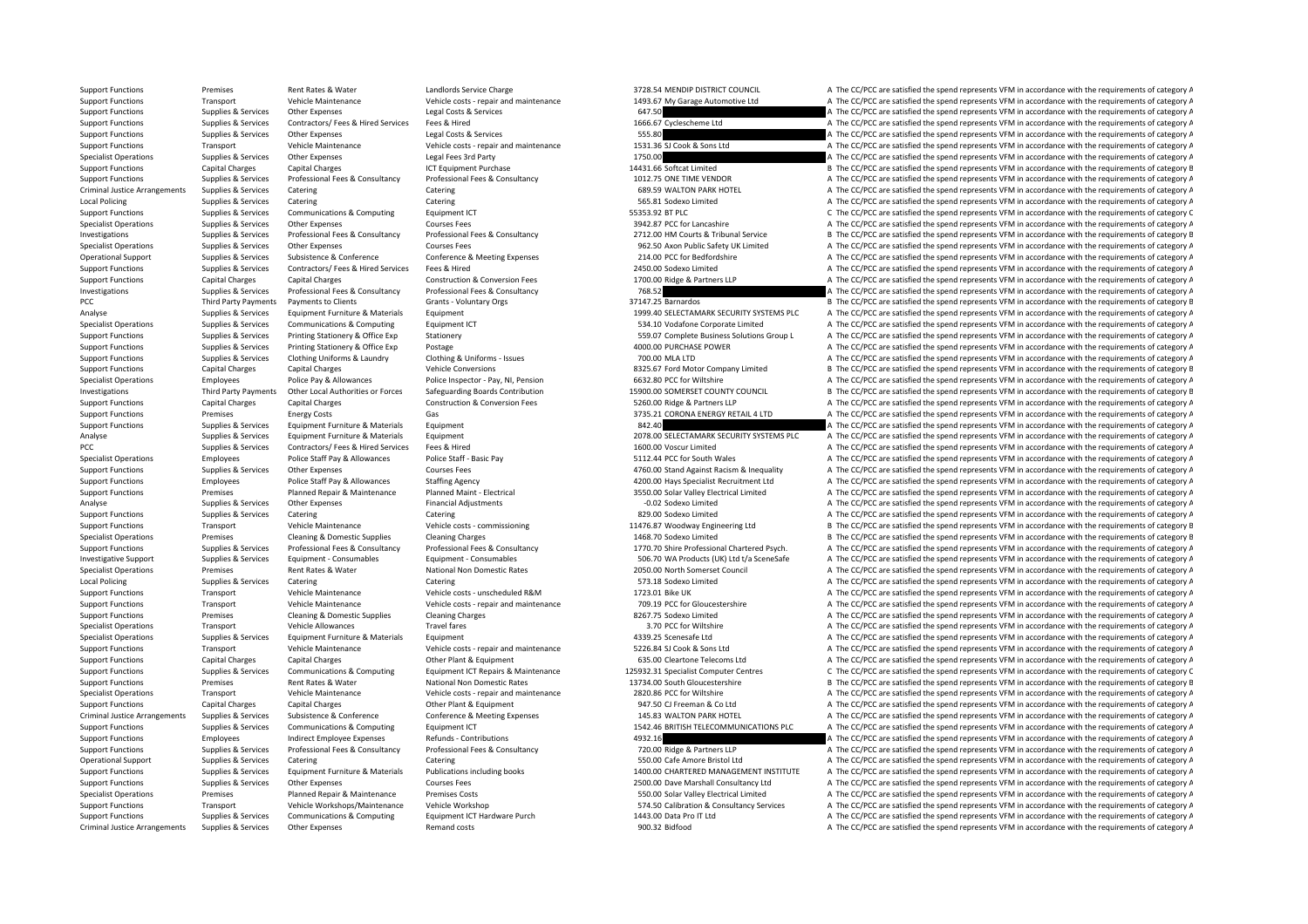Support Functions Premises Rent Rates & Water Landlords Service Charge 3728.54 MENDIP DISTRICT COUNCIL A The CC/PCC are satisfied the spend represents VFM in accordance with the requirements of category A Support Functions Transport Vehicle Maintenance Vehicle costs - repair and maintenance 1493.67 My Garage Automotive Ltd A The CC/PCC are satisfied the spend represents VFM in accordance with the requirements of category A Support Functions Supplies & Services Other Expenses Legal Costs & Services Legal Costs & Services Legal Costs & Services 647.50 A The CC/PCC are satisfied the spend represents VFM in accordance with the requirements of ca Support Functions Supplies & Services Contractors/ Fees & Hired Services Fees & Hired 1666.67 Cyclescheme Ltd A The CC/PCC are satisfied the spend represents VFM in accordance with the requirements of category A Support Functions Supplies & Services Other Expenses Legal Costs & Services 555.80 Services Services Services Services 555.80 A The CC/PCC are satisfied the spend represents VFM in accordance with the requirements of categ Support Functions Transport Vehicle Maintenance Vehicle costs ‐ repair and maintenance 1531.36 SJ Cook & Sons Ltd A The CC/PCC are satisfied the spend represents VFM in accordance with the requirements of category A Specialist Operations Supplies & Services Other Expenses Legal Fees 3rd Party Legal Fees 3rd Party 1750.00 A The CC/PCC are satisfied the spend represents VFM in accordance with the requirements of category A Support Functions Capital Charges Capital Charges Capital Charges ICT Equipment Purchase 14431.66 Softcat Limited B The CC/PCC are satisfied the spend represents VFM in accordance with the requirements of category B Thuman on the studies of Supplies & Services Professional Fees & Consultancy Professional Fees & Consultancy Professional Fees & Consultancy Professional Fees & Consultancy Professional Fees & Consultancy Professional Fees & Cons Criminal Justice Arrangements Supplies & Services Catering Catering Catering Catering Catering Catering Catering Catering Catering Catering Catering Catering Category A The CC/PCC are satisfied the spend represents VFM in Local Policing Supplies A Services Catering Catering Catering Catering Catering Catering Catering Catering Catering Catering SSS.81 Sodexo Limited A The CC/PCC are satisfied the spend represents VFM in accordance with the Support Functions Supplies & Services Communications & Computing Equipment ICT 55353.92 BT PLC 55353.92 BT PLC C The CC/PCC are satisfied the spend represents VFM in accordance with the requirements of category C Specialist Operations Supplies & Services Other Expenses Courses Fees Courses Fees Courses Fees 3942.87 PCC for Lancashire A The CC/PCC are satisfied the spend represents VFM in accordance with the requirements of category B The CC/PCC are satisfied the spend represents VFM in accordance with the requirements of category E Specialist Operations Supplies & Services Other Expenses Courses Fees Courses Fees 962.50 Axon Public Safety UK Limited A The CC/PCC are satisfied the spend represents VFM in accordance with the requirements of category A Operational Support Supplies & Services Subsistence & Conference Conference Conference & Conference & Conference & Meeting Expenses 214.00 PCC for Bedfordshire A The CC/PCC are satisfied the spend represents VFM in accorda A The CC/PCC are satisfied the spend represents VFM in accordance with the requirements of category A Support Functions Capital Charges Capital Charges Construction & Conversion Fees 1700.00 Ridge & Partners LLP A The CC/PCC are satisfied the spend represents VFM in accordance with the requirements of category A Investigations Supplies & Services Professional Fees & Consultancy Professional Fees & Consultancy Professional Fees & Consultancy 768.52 A The CC/PCC are satisfied the spend represents VFM in accordance with the requireme PCC Third Party Payments Payments to Clients Grants - Voluntary Orgs 37147.25 Barnardos B The CC/PCC are satisfied the spend represents VFM in accordance with the requirements of category B Analyse Supplies & Services Equipment Furniture & Materials Equipment Equipment Equipment 1999.40 SELECTAMARK SECURITY SYSTEMS PLC A The CC/PCC are satisfied the spend represents VFM in accordance with the requirements of Communications & Computing Equipment ICT example Computing Computing Computing Computer Computer Limited A The CC/PCC are satisfied the spend represents VFM in accordance with the requirements of category A Thin in accord Supplies & Services Printing Stationery & Office Exp Stationery Stationery Supplies are stationery stationery stationery stationery stationery stationery stationery and the Service Stationery Stationery Stationery Statione Support Functions Supplies & Services Printing Stationery & Office Exp Postage Postage and A The CODO PURCHASE POWER A The CC/PCC are satisfied the spend represents VFM in accordance with the requirements of category A Support Functions Supplies & Services Clothing Uniforms & Laundry Clothing & Uniforms ‐ Issues 700.00 MLA LTD A The CC/PCC are satisfied the spend represents VFM in accordance with the requirements of category A Support Functions Capital Charges Capital Charges Capital Charges Vehicle Conversions Vehicle Conversions Vehicle Conversions 8325.67 Ford Motor Company Limited B The CC/PCC are satisfied the spend represents VFM in accord Specialist Operations Employees Police Pay & Allowances Police Inspector • Pay, NI, Pension 6632.80 PCC for Wiltshire A The CC/PCC are satisfied the spend represents VFM in accordance with the requirements of category A Th Third Party Payments Other Local Authorities or Forces Safeguarding Boards Contribution 15900.00 SOMERSET COUNTY COUNCIL B The CC/PCC are satisfied the spend represents VFM in accordance with the requirements of category E Support Functions Capital Charges Capital Charges Construction & Conversion Fees 5260.00 Ridge & Partners LLP A The CC/PCC are satisfied the spend represents VFM in accordance with the requirements of category A Support Functions Premises Premises Energy Costs Gas Gas Support Gas Content Content Content Content Content Content Content Content Content Content Content Content A The CC/PCC are satisfied the spend represents VFM in ac Support Functions Supplies & Services Equipment Furniture & Materials Equipment Equipment Burniture and the Services Equipment Burniture & Materials Equipment Services Equipment Services Equipment Services Equipment Servic Analyse Supplies & Services Foujoment Furniture & Materials Foujoment 2078.00 SELECTAMARK SECURITY SYSTEMS PLC A The CC/PCC are satisfied the spend represents VFM in accordance with the requirements of category A PCC Supplies & Services Contractors/ Fees & Hired Services Fees & Hired 1600.00 Voscur Limited A The CC/PCC are satisfied the spend represents VFM in accordance with the requirements of category A Specialist Operations Employees Police Staff Pay & Allowances Police Staff - Basic Pay Folice Staff - Basic Pay Folice Staff - Basic Pay 5112.44 PCC for South Wales A The CC/PCC are satisfied the spend represents VFM in ac Support Functions Supplies & Services Other Expenses Courses Fees Courses Fees 4760.00 Stand Against Racism & Inequality A The CC/PCC are satisfied the spend represents VFM in accordance with the requirements of category A Support Functions Employees Police Staff Pay & Allowances Staffing Agency and the specialist Recruitment Ltd A The CC/PCC are satisfied the spend represents VFM in accordance with the requirements of category A Support Functions Premises Planned Repair & Maintenance Planned Maint - Electrical 3550.00 Solar Valley Electrical Limited A The CC/PCC are satisfied the spend represents VFM in accordance with the requirements of category Analyse Supplies & Services Other Expenses Financial Adjustments Financial Adjustments **Financial Adjustments Financial A The CC/PCC are satisfied the spend represents VFM in accordance with the requirements of category** Support Functions Supplies & Services Catering Catering Catering Catering Catering Catering Catering Catering Catering Catering a Services and the Support Functions Supplies & Services Category Public exists Category A The Support Functions Transport Vehicle Maintenance Vehicle costs ‐ commissioning 11476.87 Woodway Engineering Ltd B The CC/PCC are satisfied the spend represents VFM in accordance with the requirements of category B Specialist Operations Premises Cleaning & Domestic Supplies Cleaning Charges Cleaning Charges 1468.70 Sodexo Limited B The CC/PCC are satisfied the spend represents VFM in accordance with the requirements of category B Support Functions Supplies & Services Professional Fees & Consultancy Professional Fees & Consultancy Professional Fees & Consultancy Professional Fees & Consultancy Professional Fees & Consultancy Professional Fees & Cons Investigative Supplemagnet Multiplemagnet Supplemagnet Supplemagnet Supplemagnet Consumables Foutnoment - Consumables Foutnoment - Consumables Foutnoment - Consumables Foutnoment - Consumables Supplemagnet of category A Su Specialist Operations Premises Rent Rates & Water National Non Domestic Rates 2050.00 North Somerset Council A The CC/PCC are satisfied the spend represents VFM in accordance with the requirements of category A Local Policing Supplies & Services Catering Catering Catering Catering Catering Catering Catering Catering Catering Catering Catering ST ST States and ST ST Stategory A The CC/PCC are satisfied the spend represents VFM in Support Transport Vehicle Maintenance Vehicle costs – unscheduled R&M 1723.01 Bike UK A The CC/PCC are satisfied the spend represents VFM in accordance with the requirements of category A Support Functions Transport Vehicle Maintenance Vehicle costs ‐ repair and maintenance 709.19 PCC for Gloucestershire A The CC/PCC are satisfied the spend represents VFM in accordance with the requirements of category A Support Functions Premises Cleaning & Domestic Supplies Cleaning Charges Cleaning Charges B267.75 Sodexo Limited A The CC/PCC are satisfied the spend represents VFM in accordance with the requirements of category A Specialist Operations Transport Specialist Operations Travel Travel fares Travel fares and the Specialist Operations and the Specialist Operations of category A The CC/PCC are satisfied the spend represents VFM in accordan Equipment Turniture A339.25 Scenesafe Ltd A The CC/PCC are satisfied the spend represents VFM in accordance with the requirements of category A Support Functions Transport Vehicle Maintenance Vehicle costs ‐ repair and maintenance 5226.84 SJ Cook & Sons Ltd A The CC/PCC are satisfied the spend represents VFM in accordance with the requirements of category A Support Functions Capital Charges Capital Charges Other Plant & Equipment 635.00 Cleartone Telecoms Ltd A The CC/PCC are satisfied the spend represents VFM in accordance with the requirements of category A Supplies & Services Communications & Computing Equipment ICT Repairs & Maintenance 125932.31 Specialist Computer Centres Computer Persisted the spend represents VFM in accordance with the requirements of category ( Support Functions Premises Rent Rates & Water National Non Domestic Rates 13734.00 South Gloucestershire B The CC/PCC are satisfied the spend represents VFM in accordance with the requirements of category E<br>Specialist Oper Specialist Operations Transport Vehicle Maintenance Vehicle costs ‐ repair and maintenance 2820.86 PCC for Wiltshire A The CC/PCC are satisfied the spend represents VFM in accordance with the requirements of category A Support Functions Capital Charges Capital Charges Other Plant & Equipment 947.50 CJ Freeman & Co Ltd A The CC/PCC are satisfied the spend represents VFM in accordance with the requirements of category A Criminal Justice Arrangements Supplies & Services Subsistence & Conference Conference Conference Conference Conference Conference Conference Conference Conference Conference Conference Conference Conference Conference Conf Support Functions Supplies & Services Communications & Computing Fquipment ICT 1542.46 BRITISH TELECOMMUNICATIONS PLC A The CC/PCC are satisfied the spend represents VFM in accordance with the requirements of category A Support Functions Employees Indirect Employee Expenses Refunds - Contributions Refunds - Contributions A The CONTEN A The CC/PCC are satisfied the spend represents VFM in accordance with the requirements of category A The A The CC/PCC are satisfied the spend represents VFM in accordance with the requirements of category A Operational Support Supplies & Services Catering Catering Catering Catering Catering Catering Catering Catering Catering Catering Catering Catering Catering SUDD Cafe Amore Bristol Ltd A The CC/PCC are satisfied the spend Support Functions Supplies & Services Equipment Furniture & Materials Publications including books 1400.00 CHARTERED MANAGEMENT INSTITUTE A The CC/PCC are satisfied the spend represents VFM in accordance with the requireme A The CC/PCC are satisfied the spend represents VFM in accordance with the requirements of category A Specialist Operations Premises Planned Repair & Maintenance Premises Costs Specialist Costs 550.00 Solar Valley Electrical Limited A The CC/PCC are satisfied the spend represents VFM in accordance with the requirements of Support Functions Transport Vehicle Workshops/Maintenance Vehicle Workshop 574.50 Calibration & Consultancy Services A The CC/PCC are satisfied the spend represents VFM in accordance with the requirements of category A Support Functions Supplies & Services Communications & Computing Equipment ICT Hardware Purch 1443.00 Data Pro IT Ltd A The CC/PCC are satisfied the spend represents VFM in accordance with the requirements of category A Criminal Justice Arrangements Supplies & Services Other Expenses Remand costs Remand costs Remand costs 900.32 Bidfood A The CC/PCC are satisfied the spend represents VFM in accordance with the requirements of category A